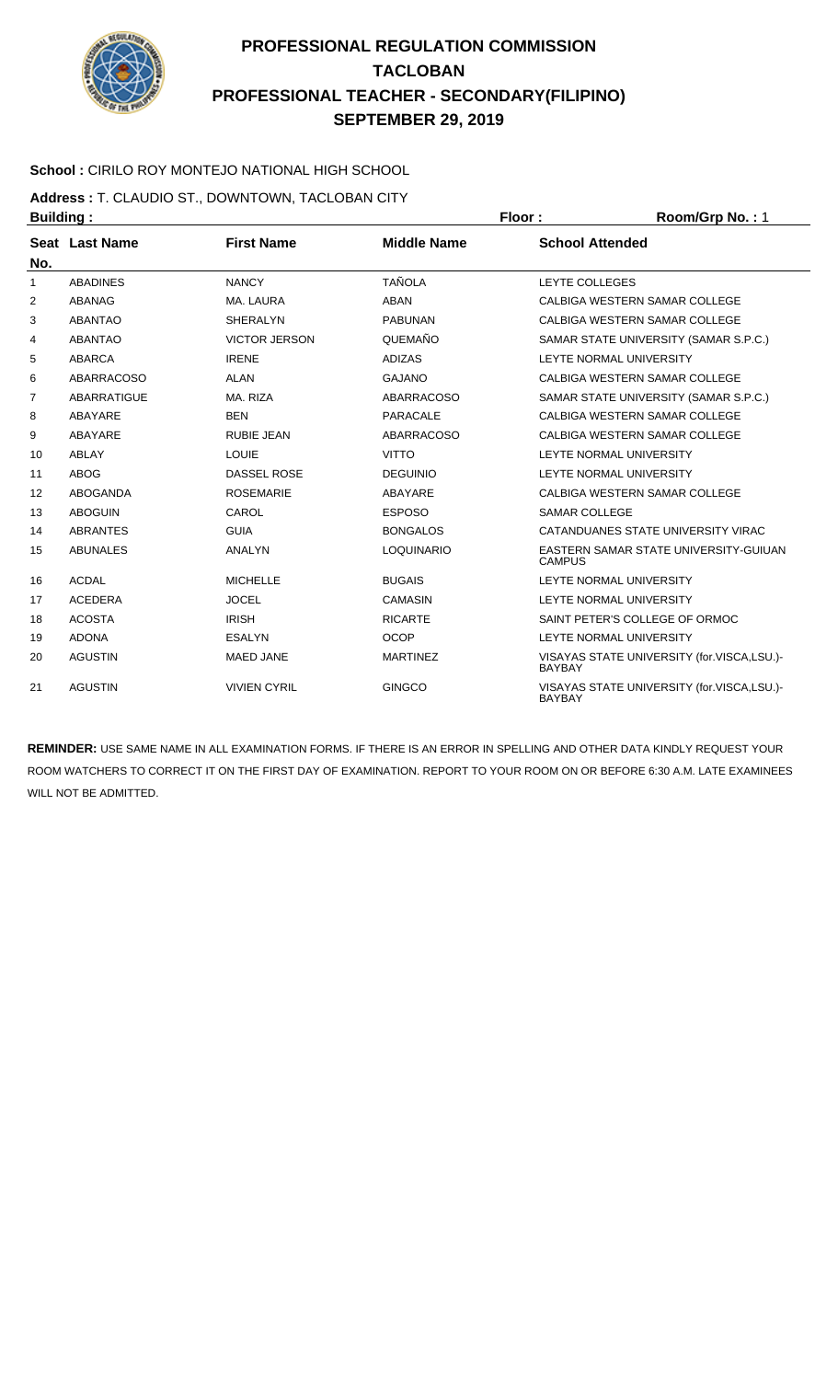

### **School :** CIRILO ROY MONTEJO NATIONAL HIGH SCHOOL

**Address :** T. CLAUDIO ST., DOWNTOWN, TACLOBAN CITY **Building : Floor : Floor : Room/Grp No. : 1** 

| No.            | Seat Last Name     | <b>First Name</b>    | <b>Middle Name</b> | <b>School Attended</b>                                      |
|----------------|--------------------|----------------------|--------------------|-------------------------------------------------------------|
| 1              | <b>ABADINES</b>    | <b>NANCY</b>         | <b>TAÑOLA</b>      | <b>LEYTE COLLEGES</b>                                       |
| 2              | ABANAG             | MA, LAURA            | <b>ABAN</b>        | CALBIGA WESTERN SAMAR COLLEGE                               |
| 3              | <b>ABANTAO</b>     | SHERALYN             | <b>PABUNAN</b>     | CALBIGA WESTERN SAMAR COLLEGE                               |
| 4              | <b>ABANTAO</b>     | <b>VICTOR JERSON</b> | QUEMAÑO            | SAMAR STATE UNIVERSITY (SAMAR S.P.C.)                       |
| 5              | ABARCA             | <b>IRENE</b>         | ADIZAS             | <b>LEYTE NORMAL UNIVERSITY</b>                              |
| 6              | ABARRACOSO         | <b>ALAN</b>          | <b>GAJANO</b>      | CALBIGA WESTERN SAMAR COLLEGE                               |
| $\overline{7}$ | <b>ABARRATIGUE</b> | MA, RIZA             | <b>ABARRACOSO</b>  | SAMAR STATE UNIVERSITY (SAMAR S.P.C.)                       |
| 8              | ABAYARE            | <b>BEN</b>           | PARACALE           | CALBIGA WESTERN SAMAR COLLEGE                               |
| 9              | ABAYARE            | RUBIE JEAN           | <b>ABARRACOSO</b>  | CALBIGA WESTERN SAMAR COLLEGE                               |
| 10             | ABLAY              | <b>LOUIE</b>         | <b>VITTO</b>       | LEYTE NORMAL UNIVERSITY                                     |
| 11             | <b>ABOG</b>        | <b>DASSEL ROSE</b>   | <b>DEGUINIO</b>    | <b>LEYTE NORMAL UNIVERSITY</b>                              |
| 12             | ABOGANDA           | <b>ROSEMARIE</b>     | ABAYARE            | CALBIGA WESTERN SAMAR COLLEGE                               |
| 13             | <b>ABOGUIN</b>     | CAROL                | <b>ESPOSO</b>      | <b>SAMAR COLLEGE</b>                                        |
| 14             | <b>ABRANTES</b>    | <b>GUIA</b>          | <b>BONGALOS</b>    | CATANDUANES STATE UNIVERSITY VIRAC                          |
| 15             | <b>ABUNALES</b>    | ANALYN               | <b>LOQUINARIO</b>  | EASTERN SAMAR STATE UNIVERSITY-GUIUAN<br><b>CAMPUS</b>      |
| 16             | <b>ACDAL</b>       | <b>MICHELLE</b>      | <b>BUGAIS</b>      | LEYTE NORMAL UNIVERSITY                                     |
| 17             | <b>ACEDERA</b>     | <b>JOCEL</b>         | <b>CAMASIN</b>     | LEYTE NORMAL UNIVERSITY                                     |
| 18             | <b>ACOSTA</b>      | <b>IRISH</b>         | <b>RICARTE</b>     | SAINT PETER'S COLLEGE OF ORMOC                              |
| 19             | <b>ADONA</b>       | <b>ESALYN</b>        | <b>OCOP</b>        | <b>LEYTE NORMAL UNIVERSITY</b>                              |
| 20             | <b>AGUSTIN</b>     | <b>MAED JANE</b>     | <b>MARTINEZ</b>    | VISAYAS STATE UNIVERSITY (for.VISCA,LSU.)-<br><b>BAYBAY</b> |
| 21             | <b>AGUSTIN</b>     | <b>VIVIEN CYRIL</b>  | <b>GINGCO</b>      | VISAYAS STATE UNIVERSITY (for.VISCA,LSU.)-<br><b>BAYBAY</b> |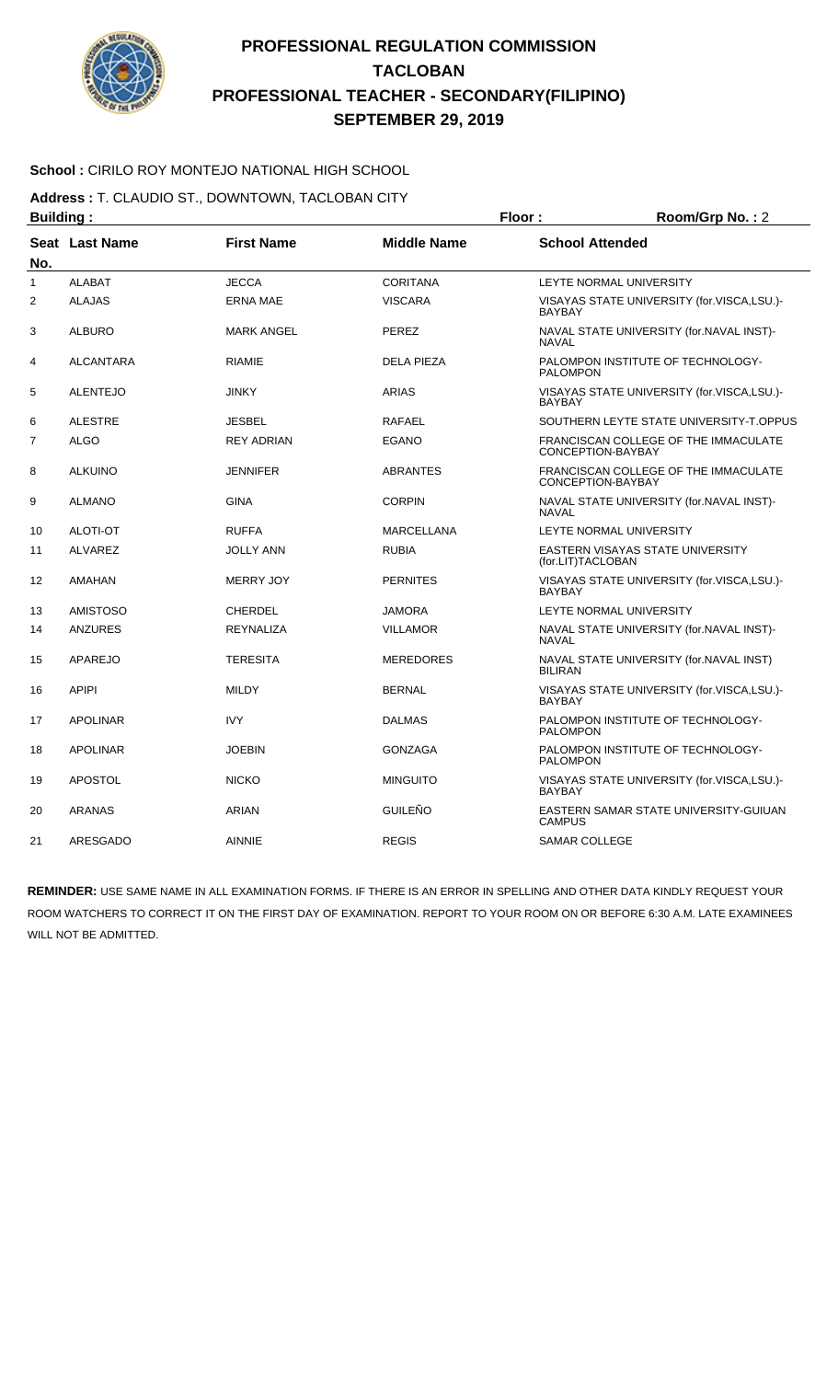

### **School :** CIRILO ROY MONTEJO NATIONAL HIGH SCHOOL

**Address :** T. CLAUDIO ST., DOWNTOWN, TACLOBAN CITY

| <b>Building:</b> |                  |                   | Floor:             | Room/Grp No.: 2        |                                            |
|------------------|------------------|-------------------|--------------------|------------------------|--------------------------------------------|
| No.              | Seat Last Name   | <b>First Name</b> | <b>Middle Name</b> | <b>School Attended</b> |                                            |
| $\mathbf{1}$     | <b>ALABAT</b>    | <b>JECCA</b>      | <b>CORITANA</b>    |                        | <b>LEYTE NORMAL UNIVERSITY</b>             |
| $\overline{2}$   | <b>ALAJAS</b>    | <b>ERNA MAE</b>   | <b>VISCARA</b>     | <b>BAYBAY</b>          | VISAYAS STATE UNIVERSITY (for.VISCA,LSU.)- |
| 3                | <b>ALBURO</b>    | <b>MARK ANGEL</b> | <b>PEREZ</b>       | <b>NAVAL</b>           | NAVAL STATE UNIVERSITY (for.NAVAL INST)-   |
| 4                | <b>ALCANTARA</b> | <b>RIAMIE</b>     | <b>DELA PIEZA</b>  | <b>PALOMPON</b>        | PALOMPON INSTITUTE OF TECHNOLOGY-          |
| 5                | <b>ALENTEJO</b>  | <b>JINKY</b>      | <b>ARIAS</b>       | <b>BAYBAY</b>          | VISAYAS STATE UNIVERSITY (for.VISCA,LSU.)- |
| 6                | <b>ALESTRE</b>   | <b>JESBEL</b>     | <b>RAFAEL</b>      |                        | SOUTHERN LEYTE STATE UNIVERSITY-T.OPPUS    |
| 7                | <b>ALGO</b>      | <b>REY ADRIAN</b> | <b>EGANO</b>       | CONCEPTION-BAYBAY      | FRANCISCAN COLLEGE OF THE IMMACULATE       |
| 8                | <b>ALKUINO</b>   | <b>JENNIFER</b>   | <b>ABRANTES</b>    | CONCEPTION-BAYBAY      | FRANCISCAN COLLEGE OF THE IMMACULATE       |
| 9                | <b>ALMANO</b>    | <b>GINA</b>       | <b>CORPIN</b>      | <b>NAVAL</b>           | NAVAL STATE UNIVERSITY (for.NAVAL INST)-   |
| 10               | <b>ALOTI-OT</b>  | <b>RUFFA</b>      | <b>MARCELLANA</b>  |                        | <b>LEYTE NORMAL UNIVERSITY</b>             |
| 11               | <b>ALVAREZ</b>   | <b>JOLLY ANN</b>  | <b>RUBIA</b>       | (for.LIT)TACLOBAN      | EASTERN VISAYAS STATE UNIVERSITY           |
| 12               | AMAHAN           | <b>MERRY JOY</b>  | <b>PERNITES</b>    | <b>BAYBAY</b>          | VISAYAS STATE UNIVERSITY (for.VISCA,LSU.)- |
| 13               | <b>AMISTOSO</b>  | <b>CHERDEL</b>    | <b>JAMORA</b>      |                        | LEYTE NORMAL UNIVERSITY                    |
| 14               | <b>ANZURES</b>   | <b>REYNALIZA</b>  | <b>VILLAMOR</b>    | <b>NAVAL</b>           | NAVAL STATE UNIVERSITY (for.NAVAL INST)-   |
| 15               | APAREJO          | <b>TERESITA</b>   | <b>MEREDORES</b>   | <b>BILIRAN</b>         | NAVAL STATE UNIVERSITY (for.NAVAL INST)    |
| 16               | <b>APIPI</b>     | <b>MILDY</b>      | <b>BERNAL</b>      | <b>BAYBAY</b>          | VISAYAS STATE UNIVERSITY (for.VISCA,LSU.)- |
| 17               | <b>APOLINAR</b>  | <b>IVY</b>        | <b>DALMAS</b>      | <b>PALOMPON</b>        | PALOMPON INSTITUTE OF TECHNOLOGY-          |
| 18               | <b>APOLINAR</b>  | <b>JOEBIN</b>     | <b>GONZAGA</b>     | <b>PALOMPON</b>        | PALOMPON INSTITUTE OF TECHNOLOGY-          |
| 19               | <b>APOSTOL</b>   | <b>NICKO</b>      | <b>MINGUITO</b>    | <b>BAYBAY</b>          | VISAYAS STATE UNIVERSITY (for.VISCA,LSU.)- |
| 20               | ARANAS           | <b>ARIAN</b>      | <b>GUILEÑO</b>     | <b>CAMPUS</b>          | EASTERN SAMAR STATE UNIVERSITY-GUIUAN      |
| 21               | ARESGADO         | <b>AINNIE</b>     | <b>REGIS</b>       | <b>SAMAR COLLEGE</b>   |                                            |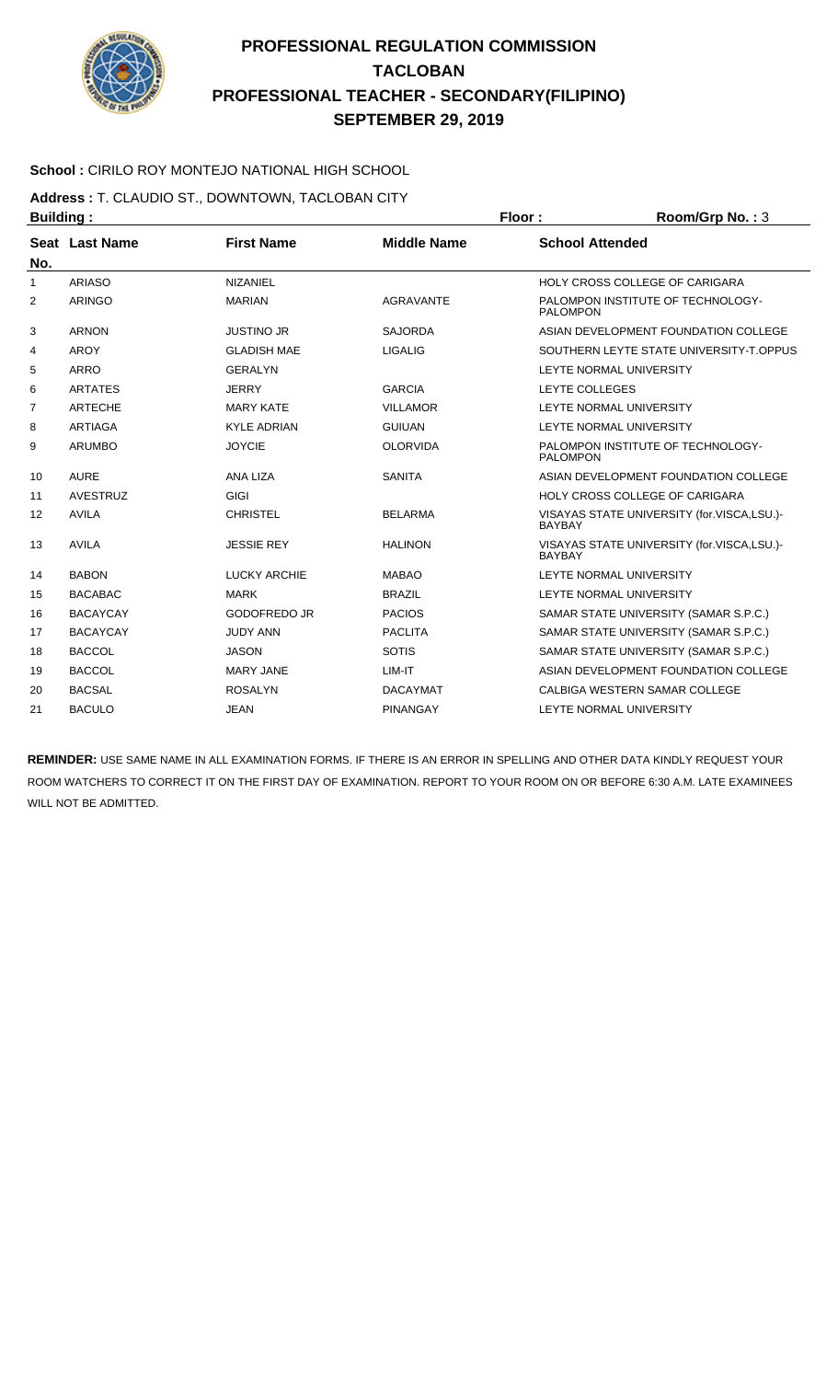

### **School :** CIRILO ROY MONTEJO NATIONAL HIGH SCHOOL

**Address :** T. CLAUDIO ST., DOWNTOWN, TACLOBAN CITY

|     | <b>Building:</b> |                     |                    |                        | Room/Grp No.: 3                            |
|-----|------------------|---------------------|--------------------|------------------------|--------------------------------------------|
| No. | Seat Last Name   | <b>First Name</b>   | <b>Middle Name</b> | <b>School Attended</b> |                                            |
| 1   | <b>ARIASO</b>    | <b>NIZANIEL</b>     |                    |                        | HOLY CROSS COLLEGE OF CARIGARA             |
| 2   | <b>ARINGO</b>    | <b>MARIAN</b>       | <b>AGRAVANTE</b>   | <b>PALOMPON</b>        | PALOMPON INSTITUTE OF TECHNOLOGY-          |
| 3   | <b>ARNON</b>     | <b>JUSTINO JR</b>   | <b>SAJORDA</b>     |                        | ASIAN DEVELOPMENT FOUNDATION COLLEGE       |
| 4   | <b>AROY</b>      | <b>GLADISH MAE</b>  | <b>LIGALIG</b>     |                        | SOUTHERN LEYTE STATE UNIVERSITY-T.OPPUS    |
| 5   | <b>ARRO</b>      | <b>GERALYN</b>      |                    |                        | LEYTE NORMAL UNIVERSITY                    |
| 6   | <b>ARTATES</b>   | <b>JERRY</b>        | <b>GARCIA</b>      | <b>LEYTE COLLEGES</b>  |                                            |
| 7   | <b>ARTECHE</b>   | <b>MARY KATE</b>    | <b>VILLAMOR</b>    |                        | LEYTE NORMAL UNIVERSITY                    |
| 8   | <b>ARTIAGA</b>   | <b>KYLE ADRIAN</b>  | <b>GUIUAN</b>      |                        | LEYTE NORMAL UNIVERSITY                    |
| 9   | <b>ARUMBO</b>    | <b>JOYCIE</b>       | <b>OLORVIDA</b>    | <b>PALOMPON</b>        | PALOMPON INSTITUTE OF TECHNOLOGY-          |
| 10  | <b>AURE</b>      | ANA LIZA            | <b>SANITA</b>      |                        | ASIAN DEVELOPMENT FOUNDATION COLLEGE       |
| 11  | <b>AVESTRUZ</b>  | GIGI                |                    |                        | HOLY CROSS COLLEGE OF CARIGARA             |
| 12  | <b>AVILA</b>     | <b>CHRISTEL</b>     | <b>BELARMA</b>     | <b>BAYBAY</b>          | VISAYAS STATE UNIVERSITY (for.VISCA,LSU.)- |
| 13  | <b>AVILA</b>     | <b>JESSIE REY</b>   | <b>HALINON</b>     | <b>BAYBAY</b>          | VISAYAS STATE UNIVERSITY (for.VISCA,LSU.)- |
| 14  | <b>BABON</b>     | <b>LUCKY ARCHIE</b> | <b>MABAO</b>       |                        | LEYTE NORMAL UNIVERSITY                    |
| 15  | <b>BACABAC</b>   | <b>MARK</b>         | <b>BRAZIL</b>      |                        | LEYTE NORMAL UNIVERSITY                    |
| 16  | <b>BACAYCAY</b>  | <b>GODOFREDO JR</b> | <b>PACIOS</b>      |                        | SAMAR STATE UNIVERSITY (SAMAR S.P.C.)      |
| 17  | <b>BACAYCAY</b>  | <b>JUDY ANN</b>     | <b>PACLITA</b>     |                        | SAMAR STATE UNIVERSITY (SAMAR S.P.C.)      |
| 18  | <b>BACCOL</b>    | <b>JASON</b>        | <b>SOTIS</b>       |                        | SAMAR STATE UNIVERSITY (SAMAR S.P.C.)      |
| 19  | <b>BACCOL</b>    | <b>MARY JANE</b>    | LIM-IT             |                        | ASIAN DEVELOPMENT FOUNDATION COLLEGE       |
| 20  | <b>BACSAL</b>    | <b>ROSALYN</b>      | <b>DACAYMAT</b>    |                        | CALBIGA WESTERN SAMAR COLLEGE              |
| 21  | <b>BACULO</b>    | <b>JEAN</b>         | <b>PINANGAY</b>    |                        | LEYTE NORMAL UNIVERSITY                    |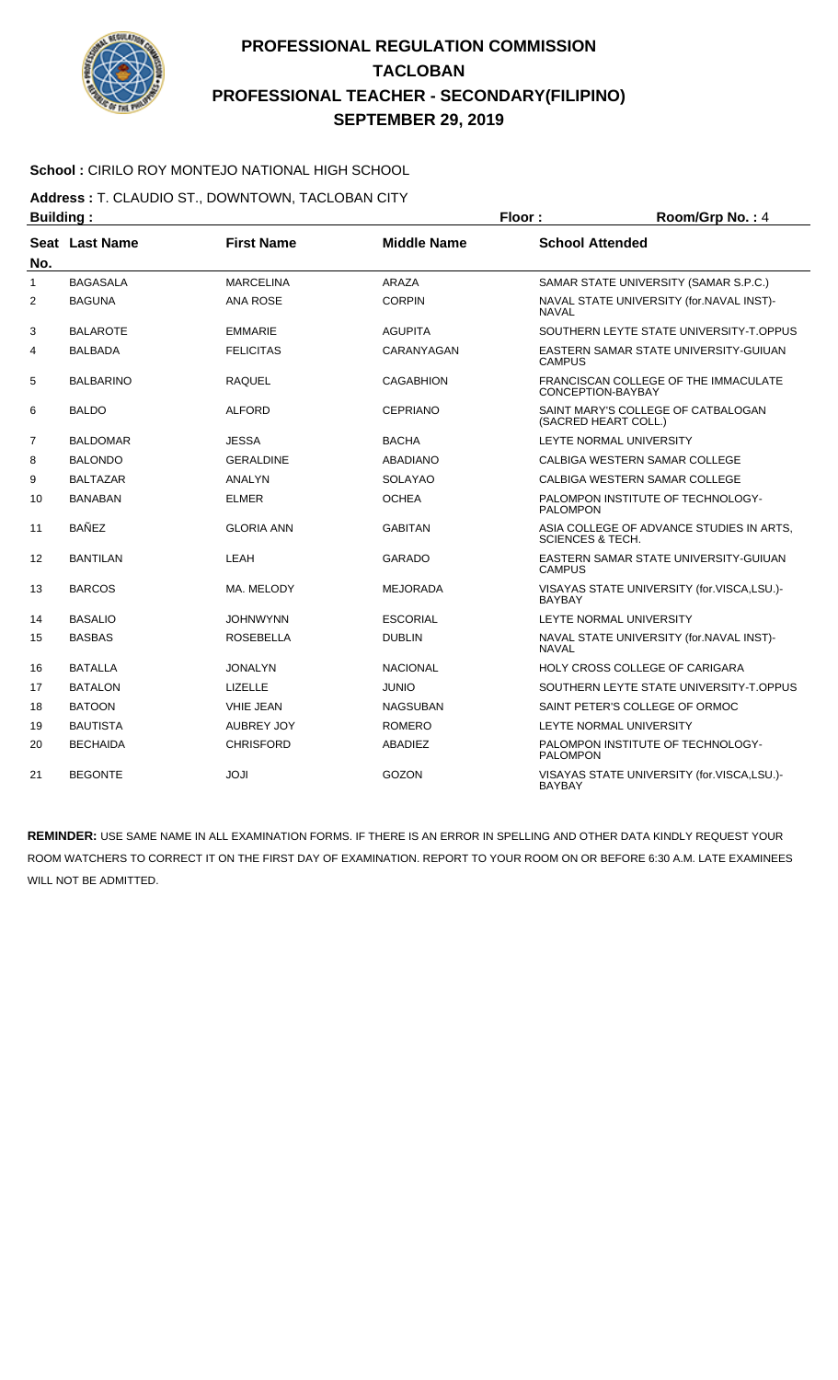

### **School :** CIRILO ROY MONTEJO NATIONAL HIGH SCHOOL

**Address :** T. CLAUDIO ST., DOWNTOWN, TACLOBAN CITY

| <b>Building:</b><br><b>First Name</b><br>Seat Last Name<br>No. |                  |                   | Floor:             | Room/Grp No.: 4             |                                            |
|----------------------------------------------------------------|------------------|-------------------|--------------------|-----------------------------|--------------------------------------------|
|                                                                |                  |                   | <b>Middle Name</b> | <b>School Attended</b>      |                                            |
| 1                                                              | <b>BAGASALA</b>  | <b>MARCELINA</b>  | <b>ARAZA</b>       |                             | SAMAR STATE UNIVERSITY (SAMAR S.P.C.)      |
| $\overline{2}$                                                 | <b>BAGUNA</b>    | <b>ANA ROSE</b>   | <b>CORPIN</b>      | <b>NAVAL</b>                | NAVAL STATE UNIVERSITY (for.NAVAL INST)-   |
| 3                                                              | <b>BALAROTE</b>  | <b>EMMARIE</b>    | <b>AGUPITA</b>     |                             | SOUTHERN LEYTE STATE UNIVERSITY-T.OPPUS    |
| 4                                                              | <b>BALBADA</b>   | <b>FELICITAS</b>  | CARANYAGAN         | <b>CAMPUS</b>               | EASTERN SAMAR STATE UNIVERSITY GUIUAN      |
| 5                                                              | <b>BALBARINO</b> | <b>RAQUEL</b>     | <b>CAGABHION</b>   | CONCEPTION-BAYBAY           | FRANCISCAN COLLEGE OF THE IMMACULATE       |
| 6                                                              | <b>BALDO</b>     | <b>ALFORD</b>     | <b>CEPRIANO</b>    | (SACRED HEART COLL.)        | SAINT MARY'S COLLEGE OF CATBALOGAN         |
| 7                                                              | <b>BALDOMAR</b>  | <b>JESSA</b>      | <b>BACHA</b>       | LEYTE NORMAL UNIVERSITY     |                                            |
| 8                                                              | <b>BALONDO</b>   | <b>GERALDINE</b>  | <b>ABADIANO</b>    |                             | CALBIGA WESTERN SAMAR COLLEGE              |
| 9                                                              | <b>BALTAZAR</b>  | ANALYN            | <b>SOLAYAO</b>     |                             | CALBIGA WESTERN SAMAR COLLEGE              |
| 10                                                             | <b>BANABAN</b>   | <b>ELMER</b>      | <b>OCHEA</b>       | <b>PALOMPON</b>             | PALOMPON INSTITUTE OF TECHNOLOGY-          |
| 11                                                             | <b>BAÑEZ</b>     | <b>GLORIA ANN</b> | <b>GABITAN</b>     | <b>SCIENCES &amp; TECH.</b> | ASIA COLLEGE OF ADVANCE STUDIES IN ARTS.   |
| 12                                                             | <b>BANTILAN</b>  | LEAH              | <b>GARADO</b>      | <b>CAMPUS</b>               | EASTERN SAMAR STATE UNIVERSITY-GUIUAN      |
| 13                                                             | <b>BARCOS</b>    | MA. MELODY        | <b>MEJORADA</b>    | <b>BAYBAY</b>               | VISAYAS STATE UNIVERSITY (for.VISCA,LSU.)- |
| 14                                                             | <b>BASALIO</b>   | <b>JOHNWYNN</b>   | <b>ESCORIAL</b>    | LEYTE NORMAL UNIVERSITY     |                                            |
| 15                                                             | <b>BASBAS</b>    | <b>ROSEBELLA</b>  | <b>DUBLIN</b>      | <b>NAVAL</b>                | NAVAL STATE UNIVERSITY (for.NAVAL INST)-   |
| 16                                                             | <b>BATALLA</b>   | <b>JONALYN</b>    | <b>NACIONAL</b>    |                             | HOLY CROSS COLLEGE OF CARIGARA             |
| 17                                                             | <b>BATALON</b>   | LIZELLE           | <b>JUNIO</b>       |                             | SOUTHERN LEYTE STATE UNIVERSITY-T.OPPUS    |
| 18                                                             | <b>BATOON</b>    | <b>VHIE JEAN</b>  | NAGSUBAN           |                             | SAINT PETER'S COLLEGE OF ORMOC             |
| 19                                                             | <b>BAUTISTA</b>  | <b>AUBREY JOY</b> | <b>ROMERO</b>      | LEYTE NORMAL UNIVERSITY     |                                            |
| 20                                                             | <b>BECHAIDA</b>  | <b>CHRISFORD</b>  | ABADIEZ            | <b>PALOMPON</b>             | PALOMPON INSTITUTE OF TECHNOLOGY-          |
| 21                                                             | <b>BEGONTE</b>   | <b>ILOL</b>       | <b>GOZON</b>       | <b>BAYBAY</b>               | VISAYAS STATE UNIVERSITY (for.VISCA,LSU.)- |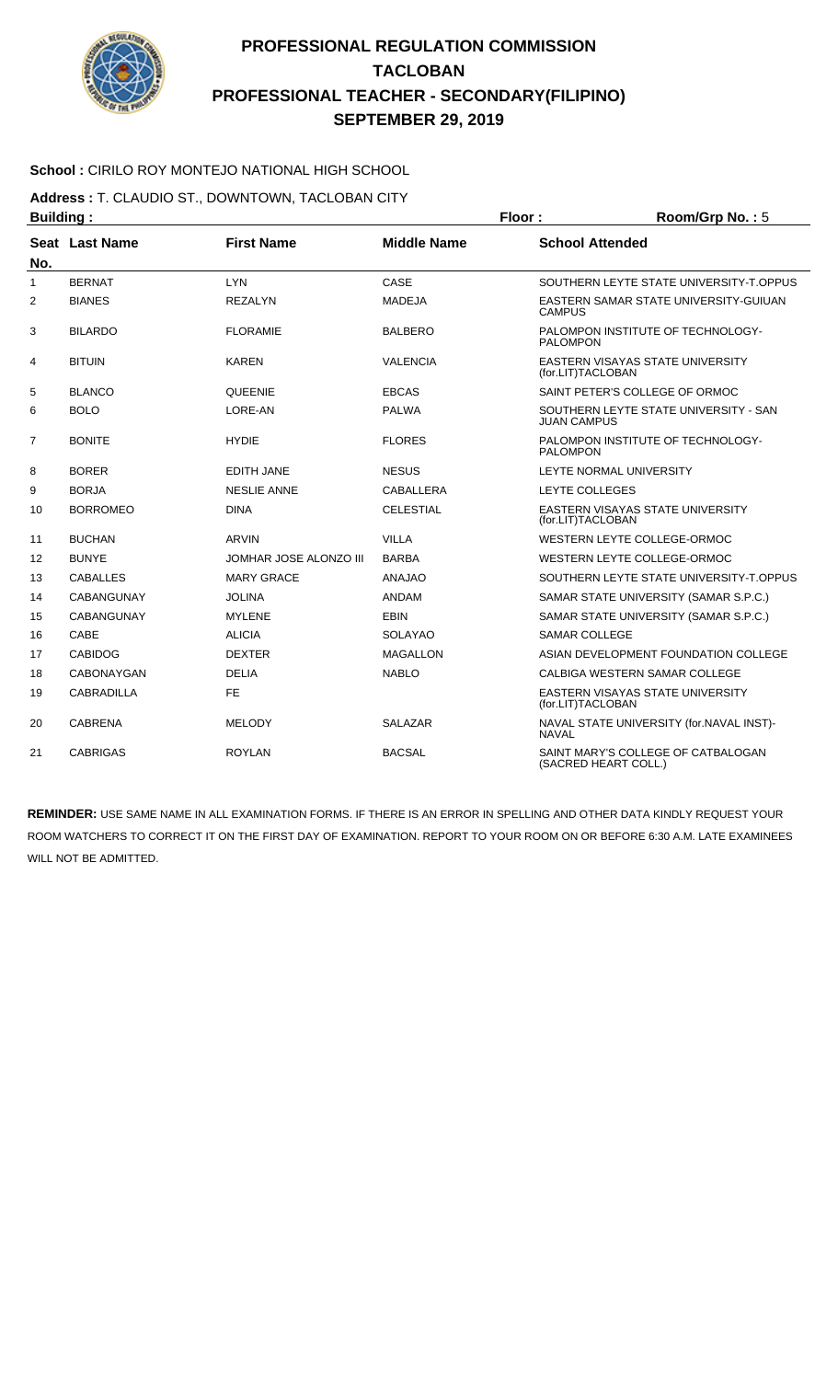

### **School :** CIRILO ROY MONTEJO NATIONAL HIGH SCHOOL

**Address :** T. CLAUDIO ST., DOWNTOWN, TACLOBAN CITY

| <b>Building:</b> |                       |                        | Floor:             | Room/Grp No.: 5        |                                                            |
|------------------|-----------------------|------------------------|--------------------|------------------------|------------------------------------------------------------|
| No.              | <b>Seat Last Name</b> | <b>First Name</b>      | <b>Middle Name</b> | <b>School Attended</b> |                                                            |
| 1                | <b>BERNAT</b>         | <b>LYN</b>             | CASE               |                        | SOUTHERN LEYTE STATE UNIVERSITY-T.OPPUS                    |
| 2                | <b>BIANES</b>         | <b>REZALYN</b>         | <b>MADEJA</b>      | <b>CAMPUS</b>          | EASTERN SAMAR STATE UNIVERSITY-GUIUAN                      |
| 3                | <b>BILARDO</b>        | <b>FLORAMIE</b>        | <b>BALBERO</b>     | <b>PALOMPON</b>        | PALOMPON INSTITUTE OF TECHNOLOGY-                          |
| 4                | <b>BITUIN</b>         | <b>KAREN</b>           | <b>VALENCIA</b>    | (for.LIT)TACLOBAN      | EASTERN VISAYAS STATE UNIVERSITY                           |
| 5                | <b>BLANCO</b>         | <b>QUEENIE</b>         | <b>EBCAS</b>       |                        | SAINT PETER'S COLLEGE OF ORMOC                             |
| 6                | <b>BOLO</b>           | LORE-AN                | <b>PALWA</b>       | <b>JUAN CAMPUS</b>     | SOUTHERN LEYTE STATE UNIVERSITY - SAN                      |
| $\overline{7}$   | <b>BONITE</b>         | <b>HYDIE</b>           | <b>FLORES</b>      | <b>PALOMPON</b>        | PALOMPON INSTITUTE OF TECHNOLOGY-                          |
| 8                | <b>BORER</b>          | <b>EDITH JANE</b>      | <b>NESUS</b>       |                        | LEYTE NORMAL UNIVERSITY                                    |
| 9                | <b>BORJA</b>          | <b>NESLIE ANNE</b>     | CABALLERA          | LEYTE COLLEGES         |                                                            |
| 10               | <b>BORROMEO</b>       | <b>DINA</b>            | <b>CELESTIAL</b>   | (for.LIT)TACLOBAN      | <b>EASTERN VISAYAS STATE UNIVERSITY</b>                    |
| 11               | <b>BUCHAN</b>         | ARVIN                  | <b>VILLA</b>       |                        | WESTERN LEYTE COLLEGE-ORMOC                                |
| 12               | <b>BUNYE</b>          | JOMHAR JOSE ALONZO III | <b>BARBA</b>       |                        | WESTERN LEYTE COLLEGE-ORMOC                                |
| 13               | <b>CABALLES</b>       | <b>MARY GRACE</b>      | <b>ANAJAO</b>      |                        | SOUTHERN LEYTE STATE UNIVERSITY-T.OPPUS                    |
| 14               | <b>CABANGUNAY</b>     | <b>JOLINA</b>          | <b>ANDAM</b>       |                        | SAMAR STATE UNIVERSITY (SAMAR S.P.C.)                      |
| 15               | <b>CABANGUNAY</b>     | <b>MYLENE</b>          | <b>EBIN</b>        |                        | SAMAR STATE UNIVERSITY (SAMAR S.P.C.)                      |
| 16               | CABE                  | <b>ALICIA</b>          | <b>SOLAYAO</b>     | SAMAR COLLEGE          |                                                            |
| 17               | <b>CABIDOG</b>        | <b>DEXTER</b>          | <b>MAGALLON</b>    |                        | ASIAN DEVELOPMENT FOUNDATION COLLEGE                       |
| 18               | <b>CABONAYGAN</b>     | <b>DELIA</b>           | <b>NABLO</b>       |                        | CALBIGA WESTERN SAMAR COLLEGE                              |
| 19               | <b>CABRADILLA</b>     | <b>FE</b>              |                    | (for.LIT)TACLOBAN      | <b>EASTERN VISAYAS STATE UNIVERSITY</b>                    |
| 20               | <b>CABRENA</b>        | <b>MELODY</b>          | <b>SALAZAR</b>     | <b>NAVAL</b>           | NAVAL STATE UNIVERSITY (for.NAVAL INST)-                   |
| 21               | <b>CABRIGAS</b>       | <b>ROYLAN</b>          | <b>BACSAL</b>      |                        | SAINT MARY'S COLLEGE OF CATBALOGAN<br>(SACRED HEART COLL.) |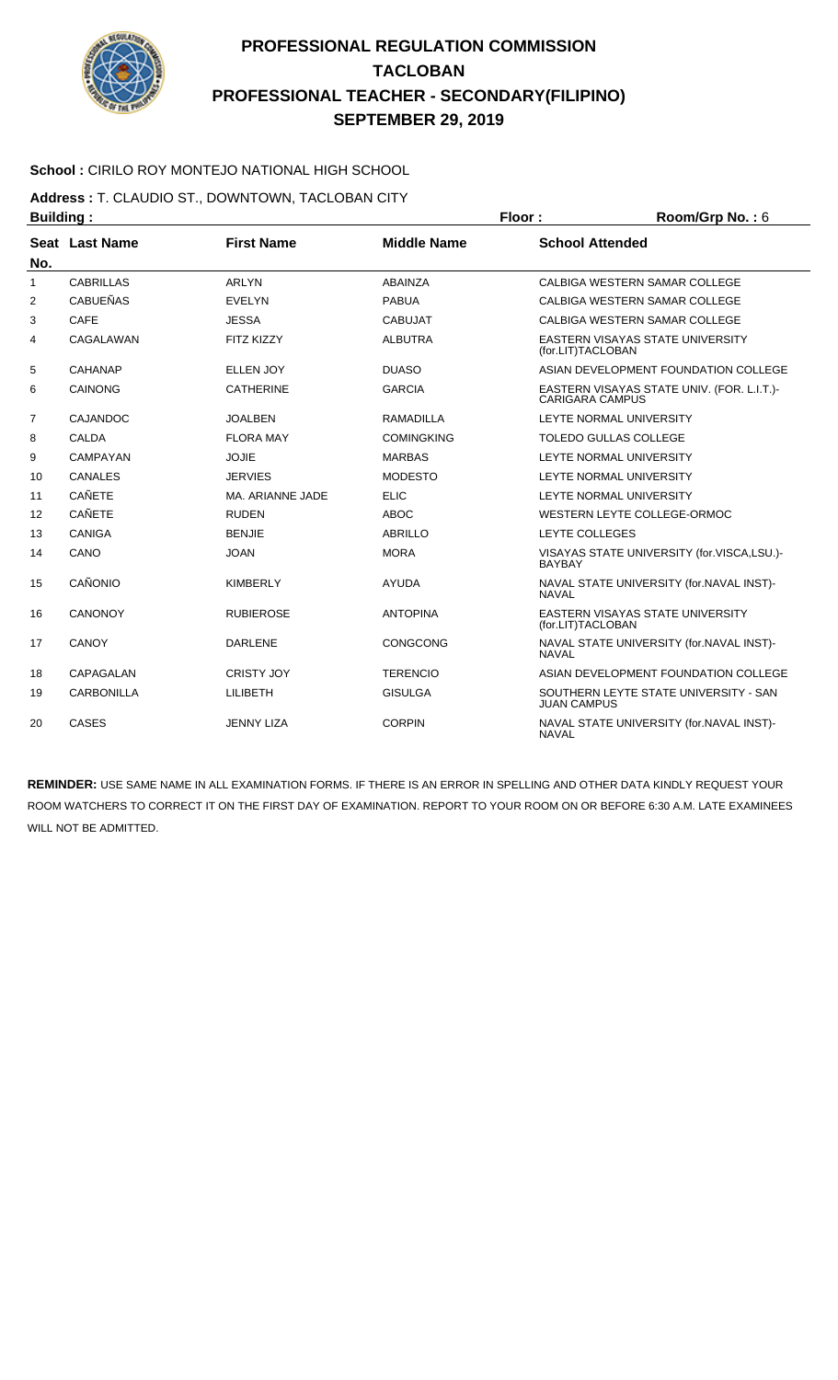

### **School :** CIRILO ROY MONTEJO NATIONAL HIGH SCHOOL

**Address :** T. CLAUDIO ST., DOWNTOWN, TACLOBAN CITY **Building : Floor : Room/Grp No. :** 6

| . <u>.</u>   |                   |                   |                    |                                                                      |
|--------------|-------------------|-------------------|--------------------|----------------------------------------------------------------------|
| No.          | Seat Last Name    | <b>First Name</b> | <b>Middle Name</b> | <b>School Attended</b>                                               |
| $\mathbf{1}$ | <b>CABRILLAS</b>  | <b>ARLYN</b>      | ABAINZA            | CALBIGA WESTERN SAMAR COLLEGE                                        |
| 2            | <b>CABUEÑAS</b>   | <b>EVELYN</b>     | <b>PABUA</b>       | CALBIGA WESTERN SAMAR COLLEGE                                        |
| 3            | <b>CAFE</b>       | <b>JESSA</b>      | <b>CABUJAT</b>     | CALBIGA WESTERN SAMAR COLLEGE                                        |
| 4            | CAGALAWAN         | <b>FITZ KIZZY</b> | <b>ALBUTRA</b>     | <b>EASTERN VISAYAS STATE UNIVERSITY</b><br>(for.LIT)TACLOBAN         |
| 5            | CAHANAP           | <b>ELLEN JOY</b>  | <b>DUASO</b>       | ASIAN DEVELOPMENT FOUNDATION COLLEGE                                 |
| 6            | CAINONG           | <b>CATHERINE</b>  | <b>GARCIA</b>      | EASTERN VISAYAS STATE UNIV. (FOR. L.I.T.)-<br><b>CARIGARA CAMPUS</b> |
| 7            | <b>CAJANDOC</b>   | <b>JOALBEN</b>    | <b>RAMADILLA</b>   | LEYTE NORMAL UNIVERSITY                                              |
| 8            | <b>CALDA</b>      | <b>FLORA MAY</b>  | <b>COMINGKING</b>  | <b>TOLEDO GULLAS COLLEGE</b>                                         |
| 9            | <b>CAMPAYAN</b>   | <b>JOJIE</b>      | <b>MARBAS</b>      | LEYTE NORMAL UNIVERSITY                                              |
| 10           | <b>CANALES</b>    | <b>JERVIES</b>    | <b>MODESTO</b>     | LEYTE NORMAL UNIVERSITY                                              |
| 11           | <b>CAÑETE</b>     | MA, ARIANNE JADE  | <b>ELIC</b>        | LEYTE NORMAL UNIVERSITY                                              |
| 12           | <b>CAÑETE</b>     | <b>RUDEN</b>      | <b>ABOC</b>        | WESTERN LEYTE COLLEGE-ORMOC                                          |
| 13           | <b>CANIGA</b>     | <b>BENJIE</b>     | <b>ABRILLO</b>     | <b>LEYTE COLLEGES</b>                                                |
| 14           | CANO              | <b>JOAN</b>       | <b>MORA</b>        | VISAYAS STATE UNIVERSITY (for.VISCA,LSU.)-<br><b>BAYBAY</b>          |
| 15           | CAÑONIO           | <b>KIMBERLY</b>   | <b>AYUDA</b>       | NAVAL STATE UNIVERSITY (for.NAVAL INST)-<br><b>NAVAL</b>             |
| 16           | <b>CANONOY</b>    | <b>RUBIEROSE</b>  | <b>ANTOPINA</b>    | EASTERN VISAYAS STATE UNIVERSITY<br>(for.LIT)TACLOBAN                |
| 17           | <b>CANOY</b>      | <b>DARLENE</b>    | <b>CONGCONG</b>    | NAVAL STATE UNIVERSITY (for.NAVAL INST)-<br><b>NAVAL</b>             |
| 18           | CAPAGALAN         | <b>CRISTY JOY</b> | <b>TERENCIO</b>    | ASIAN DEVELOPMENT FOUNDATION COLLEGE                                 |
| 19           | <b>CARBONILLA</b> | <b>LILIBETH</b>   | <b>GISULGA</b>     | SOUTHERN LEYTE STATE UNIVERSITY - SAN<br><b>JUAN CAMPUS</b>          |
| 20           | <b>CASES</b>      | <b>JENNY LIZA</b> | <b>CORPIN</b>      | NAVAL STATE UNIVERSITY (for.NAVAL INST)-<br><b>NAVAL</b>             |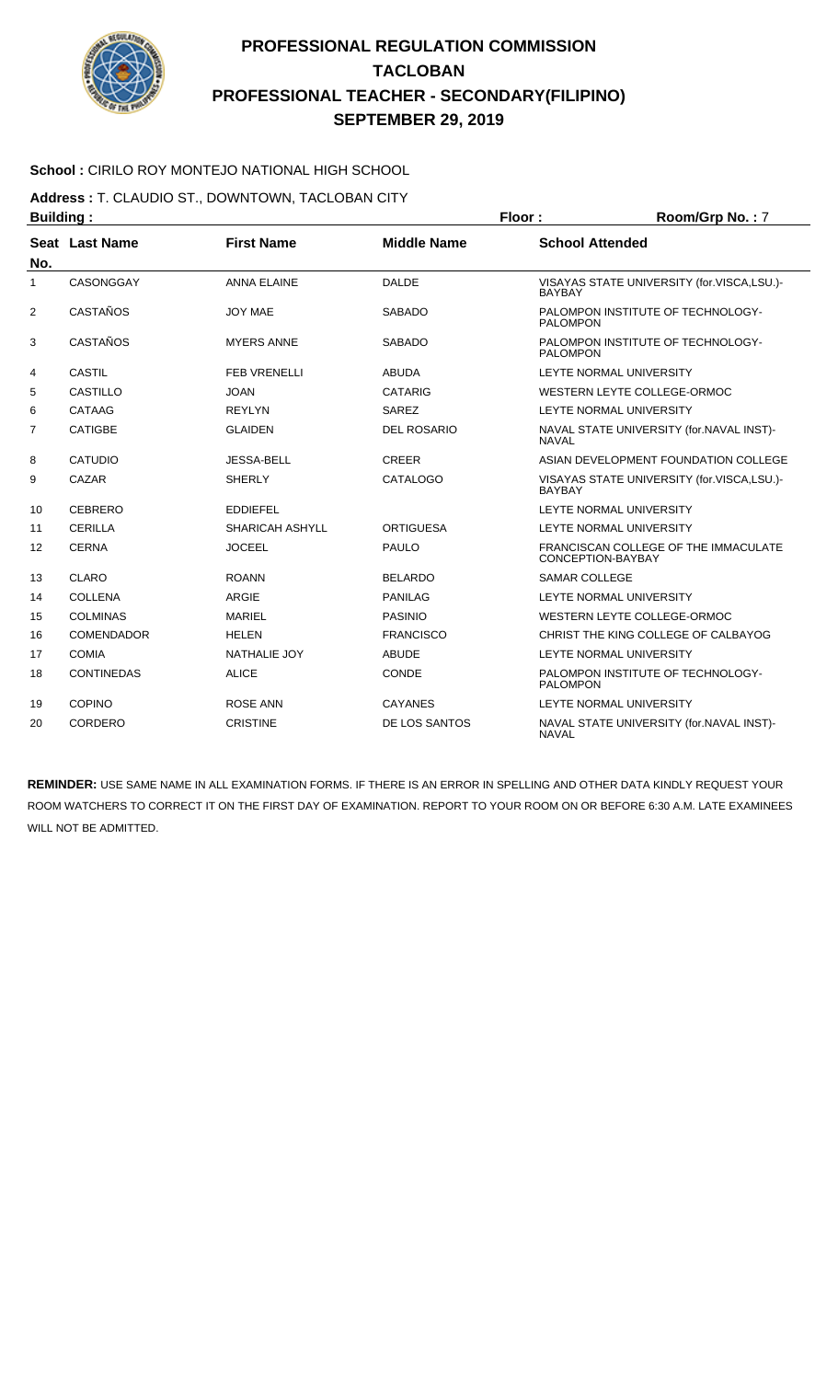

### **School :** CIRILO ROY MONTEJO NATIONAL HIGH SCHOOL

**Address :** T. CLAUDIO ST., DOWNTOWN, TACLOBAN CITY

| <b>Building:</b> |                   |                     |                    | Floor:                 | Room/Grp No.: 7                                           |  |
|------------------|-------------------|---------------------|--------------------|------------------------|-----------------------------------------------------------|--|
|                  | Seat Last Name    | <b>First Name</b>   | <b>Middle Name</b> | <b>School Attended</b> |                                                           |  |
| No.              |                   |                     |                    |                        |                                                           |  |
| 1                | CASONGGAY         | <b>ANNA ELAINE</b>  | <b>DALDE</b>       | <b>BAYBAY</b>          | VISAYAS STATE UNIVERSITY (for.VISCA,LSU.)-                |  |
| $\overline{2}$   | CASTAÑOS          | JOY MAE             | <b>SABADO</b>      | <b>PALOMPON</b>        | PALOMPON INSTITUTE OF TECHNOLOGY-                         |  |
| 3                | CASTAÑOS          | <b>MYERS ANNE</b>   | <b>SABADO</b>      | <b>PALOMPON</b>        | PALOMPON INSTITUTE OF TECHNOLOGY-                         |  |
| 4                | <b>CASTIL</b>     | <b>FEB VRENELLI</b> | <b>ABUDA</b>       |                        | LEYTE NORMAL UNIVERSITY                                   |  |
| 5                | <b>CASTILLO</b>   | <b>JOAN</b>         | <b>CATARIG</b>     |                        | WESTERN LEYTE COLLEGE-ORMOC                               |  |
| 6                | CATAAG            | <b>REYLYN</b>       | SAREZ              |                        | LEYTE NORMAL UNIVERSITY                                   |  |
| 7                | <b>CATIGBE</b>    | <b>GLAIDEN</b>      | <b>DEL ROSARIO</b> | <b>NAVAL</b>           | NAVAL STATE UNIVERSITY (for.NAVAL INST)-                  |  |
| 8                | <b>CATUDIO</b>    | <b>JESSA-BELL</b>   | <b>CREER</b>       |                        | ASIAN DEVELOPMENT FOUNDATION COLLEGE                      |  |
| 9                | CAZAR             | <b>SHERLY</b>       | <b>CATALOGO</b>    | <b>BAYBAY</b>          | VISAYAS STATE UNIVERSITY (for.VISCA,LSU.)-                |  |
| 10               | <b>CEBRERO</b>    | <b>EDDIEFEL</b>     |                    |                        | LEYTE NORMAL UNIVERSITY                                   |  |
| 11               | <b>CERILLA</b>    | SHARICAH ASHYLL     | <b>ORTIGUESA</b>   |                        | LEYTE NORMAL UNIVERSITY                                   |  |
| 12               | <b>CERNA</b>      | <b>JOCEEL</b>       | <b>PAULO</b>       |                        | FRANCISCAN COLLEGE OF THE IMMACULATE<br>CONCEPTION-BAYBAY |  |
| 13               | CLARO             | <b>ROANN</b>        | <b>BELARDO</b>     | <b>SAMAR COLLEGE</b>   |                                                           |  |
| 14               | <b>COLLENA</b>    | <b>ARGIF</b>        | <b>PANILAG</b>     |                        | LEYTE NORMAL UNIVERSITY                                   |  |
| 15               | <b>COLMINAS</b>   | <b>MARIEL</b>       | <b>PASINIO</b>     |                        | WESTERN LEYTE COLLEGE-ORMOC                               |  |
| 16               | <b>COMENDADOR</b> | <b>HELEN</b>        | <b>FRANCISCO</b>   |                        | CHRIST THE KING COLLEGE OF CALBAYOG                       |  |
| 17               | <b>COMIA</b>      | <b>NATHALIE JOY</b> | <b>ABUDE</b>       |                        | LEYTE NORMAL UNIVERSITY                                   |  |
| 18               | <b>CONTINEDAS</b> | <b>ALICE</b>        | CONDE              | <b>PALOMPON</b>        | PALOMPON INSTITUTE OF TECHNOLOGY-                         |  |
| 19               | <b>COPINO</b>     | <b>ROSE ANN</b>     | <b>CAYANES</b>     |                        | LEYTE NORMAL UNIVERSITY                                   |  |
| 20               | CORDERO           | <b>CRISTINE</b>     | DE LOS SANTOS      | <b>NAVAL</b>           | NAVAL STATE UNIVERSITY (for.NAVAL INST)-                  |  |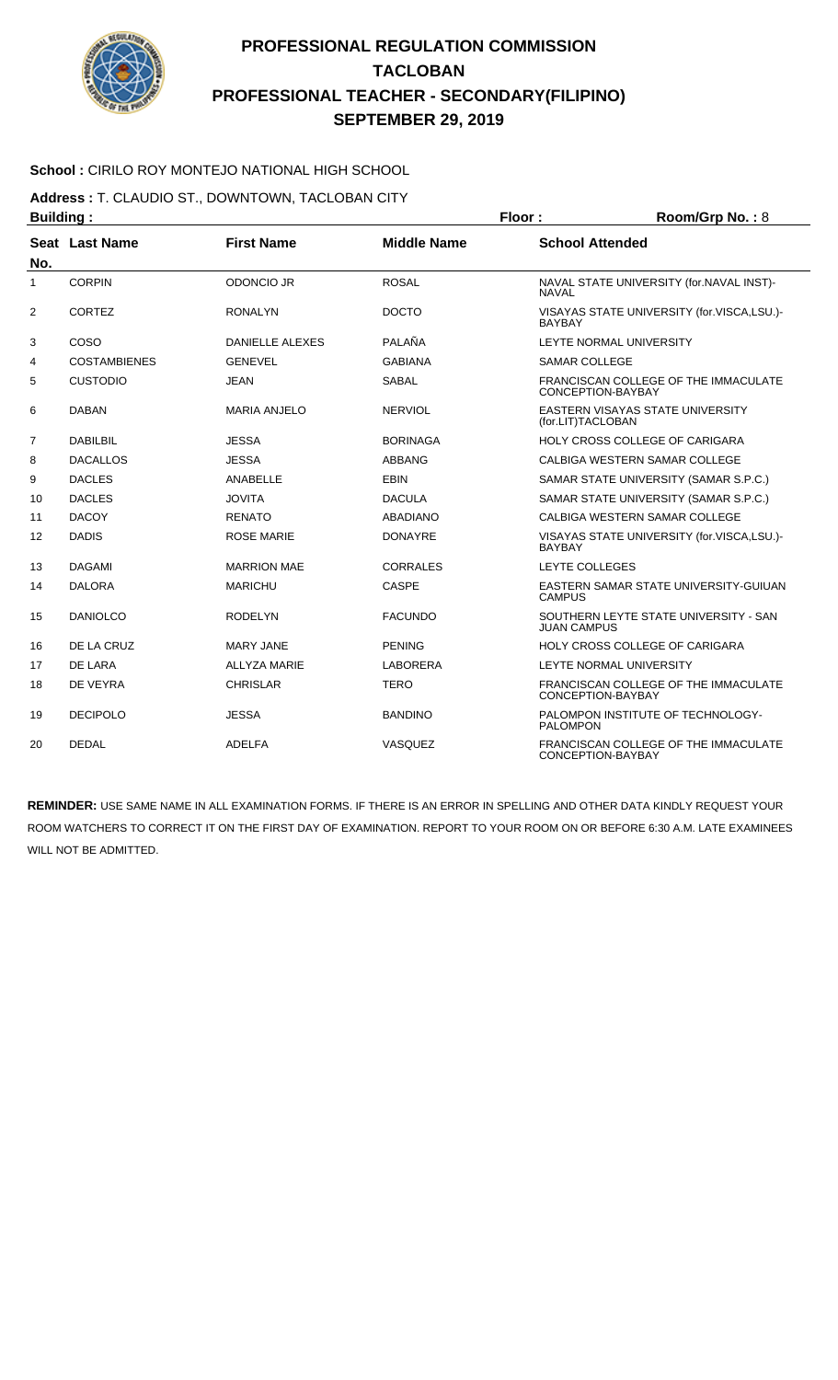

### **School :** CIRILO ROY MONTEJO NATIONAL HIGH SCHOOL

**Address :** T. CLAUDIO ST., DOWNTOWN, TACLOBAN CITY

| <b>Building:</b> |                       |                                                                   |                 | Floor:                                               | Room/Grp No.: 8                            |  |
|------------------|-----------------------|-------------------------------------------------------------------|-----------------|------------------------------------------------------|--------------------------------------------|--|
| No.              | <b>Seat Last Name</b> | <b>First Name</b><br><b>School Attended</b><br><b>Middle Name</b> |                 |                                                      |                                            |  |
| 1                | <b>CORPIN</b>         | <b>ODONCIO JR</b>                                                 | <b>ROSAL</b>    | <b>NAVAL</b>                                         | NAVAL STATE UNIVERSITY (for.NAVAL INST)-   |  |
| $\overline{2}$   | <b>CORTEZ</b>         | <b>RONALYN</b>                                                    | <b>DOCTO</b>    | <b>BAYBAY</b>                                        | VISAYAS STATE UNIVERSITY (for.VISCA,LSU.)- |  |
| 3                | COSO                  | <b>DANIELLE ALEXES</b>                                            | PALAÑA          |                                                      | LEYTE NORMAL UNIVERSITY                    |  |
| 4                | <b>COSTAMBIENES</b>   | <b>GENEVEL</b>                                                    | <b>GABIANA</b>  | <b>SAMAR COLLEGE</b>                                 |                                            |  |
| 5                | <b>CUSTODIO</b>       | <b>JEAN</b>                                                       | <b>SABAL</b>    | CONCEPTION-BAYBAY                                    | FRANCISCAN COLLEGE OF THE IMMACULATE       |  |
| 6                | <b>DABAN</b>          | <b>MARIA ANJELO</b>                                               | <b>NERVIOL</b>  | (for.LIT)TACLOBAN                                    | <b>EASTERN VISAYAS STATE UNIVERSITY</b>    |  |
| $\overline{7}$   | DABILBIL              | <b>JESSA</b>                                                      | <b>BORINAGA</b> |                                                      | HOLY CROSS COLLEGE OF CARIGARA             |  |
| 8                | <b>DACALLOS</b>       | <b>JESSA</b>                                                      | <b>ABBANG</b>   |                                                      | CALBIGA WESTERN SAMAR COLLEGE              |  |
| 9                | <b>DACLES</b>         | ANABELLE                                                          | <b>EBIN</b>     |                                                      | SAMAR STATE UNIVERSITY (SAMAR S.P.C.)      |  |
| 10               | <b>DACLES</b>         | <b>JOVITA</b>                                                     | <b>DACULA</b>   |                                                      | SAMAR STATE UNIVERSITY (SAMAR S.P.C.)      |  |
| 11               | <b>DACOY</b>          | <b>RENATO</b>                                                     | <b>ABADIANO</b> |                                                      | CALBIGA WESTERN SAMAR COLLEGE              |  |
| 12               | <b>DADIS</b>          | <b>ROSE MARIE</b>                                                 | <b>DONAYRE</b>  | <b>BAYBAY</b>                                        | VISAYAS STATE UNIVERSITY (for.VISCA,LSU.)- |  |
| 13               | <b>DAGAMI</b>         | <b>MARRION MAE</b>                                                | <b>CORRALES</b> | <b>LEYTE COLLEGES</b>                                |                                            |  |
| 14               | <b>DALORA</b>         | <b>MARICHU</b>                                                    | <b>CASPE</b>    | <b>CAMPUS</b>                                        | EASTERN SAMAR STATE UNIVERSITY-GUIUAN      |  |
| 15               | <b>DANIOLCO</b>       | <b>RODELYN</b>                                                    | <b>FACUNDO</b>  | <b>JUAN CAMPUS</b>                                   | SOUTHERN LEYTE STATE UNIVERSITY - SAN      |  |
| 16               | DE LA CRUZ            | <b>MARY JANE</b>                                                  | <b>PENING</b>   |                                                      | <b>HOLY CROSS COLLEGE OF CARIGARA</b>      |  |
| 17               | DE LARA               | <b>ALLYZA MARIE</b>                                               | <b>LABORERA</b> |                                                      | LEYTE NORMAL UNIVERSITY                    |  |
| 18               | DE VEYRA              | <b>CHRISLAR</b>                                                   | <b>TERO</b>     | CONCEPTION-BAYBAY                                    | FRANCISCAN COLLEGE OF THE IMMACULATE       |  |
| 19               | <b>DECIPOLO</b>       | <b>JESSA</b>                                                      | <b>BANDINO</b>  | PALOMPON INSTITUTE OF TECHNOLOGY-<br><b>PALOMPON</b> |                                            |  |
| 20               | <b>DEDAL</b>          | <b>ADELFA</b>                                                     | VASQUEZ         | CONCEPTION-BAYBAY                                    | FRANCISCAN COLLEGE OF THE IMMACULATE       |  |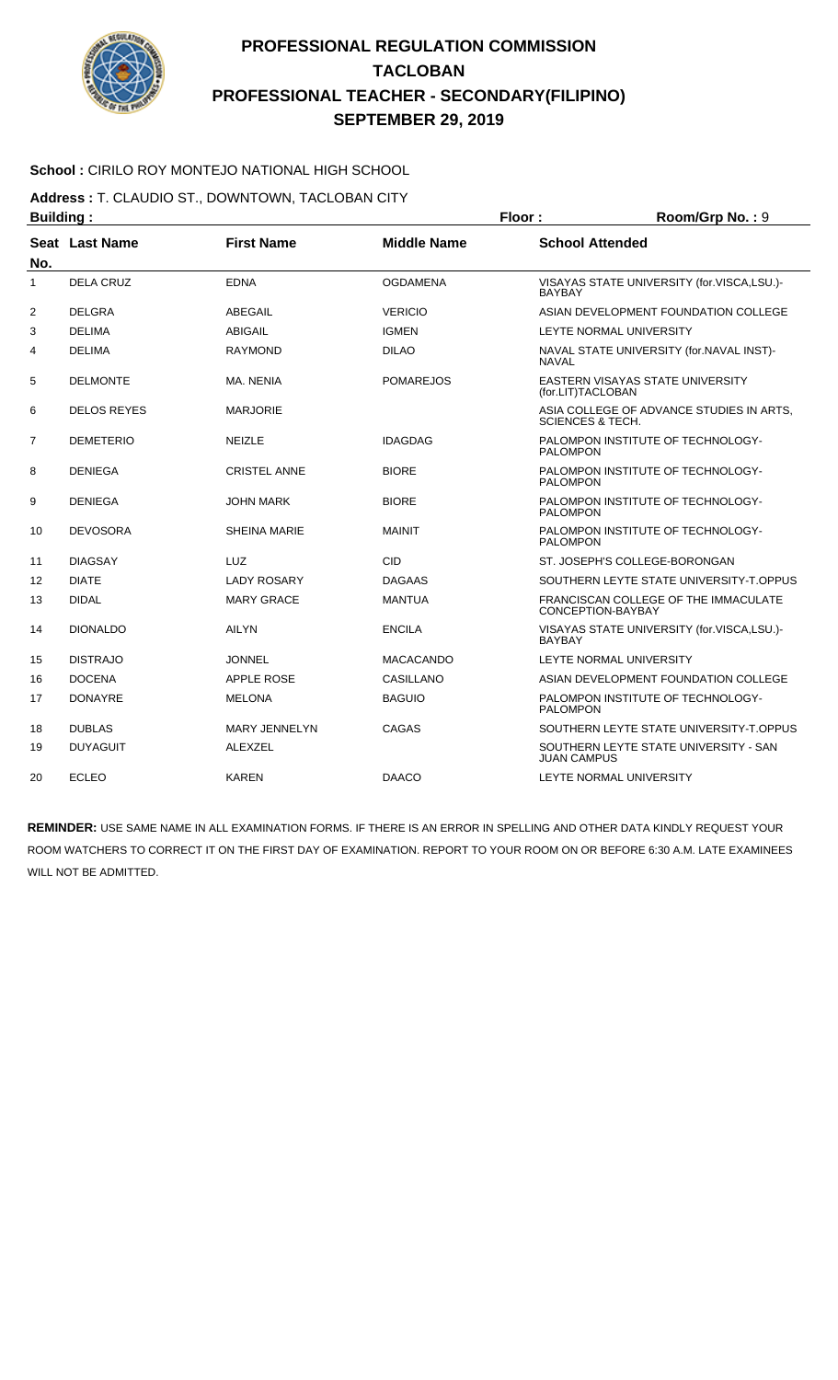

### **School :** CIRILO ROY MONTEJO NATIONAL HIGH SCHOOL

**Address :** T. CLAUDIO ST., DOWNTOWN, TACLOBAN CITY

| <b>Building:</b> |                    |                      | Floor:             | Room/Grp No.: 9             |                                            |
|------------------|--------------------|----------------------|--------------------|-----------------------------|--------------------------------------------|
| No.              | Seat Last Name     | <b>First Name</b>    | <b>Middle Name</b> | <b>School Attended</b>      |                                            |
| 1                | <b>DELA CRUZ</b>   | <b>EDNA</b>          | <b>OGDAMENA</b>    | <b>BAYBAY</b>               | VISAYAS STATE UNIVERSITY (for.VISCA,LSU.)- |
| 2                | <b>DELGRA</b>      | <b>ABEGAIL</b>       | <b>VERICIO</b>     |                             | ASIAN DEVELOPMENT FOUNDATION COLLEGE       |
| 3                | <b>DELIMA</b>      | <b>ABIGAIL</b>       | <b>IGMEN</b>       |                             | LEYTE NORMAL UNIVERSITY                    |
| 4                | <b>DELIMA</b>      | <b>RAYMOND</b>       | <b>DILAO</b>       | <b>NAVAL</b>                | NAVAL STATE UNIVERSITY (for.NAVAL INST)-   |
| 5                | <b>DELMONTE</b>    | MA, NENIA            | <b>POMAREJOS</b>   | (for.LIT)TACLOBAN           | EASTERN VISAYAS STATE UNIVERSITY           |
| 6                | <b>DELOS REYES</b> | <b>MARJORIE</b>      |                    | <b>SCIENCES &amp; TECH.</b> | ASIA COLLEGE OF ADVANCE STUDIES IN ARTS.   |
| 7                | <b>DEMETERIO</b>   | <b>NEIZLE</b>        | <b>IDAGDAG</b>     | <b>PALOMPON</b>             | PALOMPON INSTITUTE OF TECHNOLOGY-          |
| 8                | <b>DENIEGA</b>     | <b>CRISTEL ANNE</b>  | <b>BIORE</b>       | <b>PALOMPON</b>             | PALOMPON INSTITUTE OF TECHNOLOGY-          |
| 9                | <b>DENIEGA</b>     | <b>JOHN MARK</b>     | <b>BIORE</b>       | <b>PALOMPON</b>             | PALOMPON INSTITUTE OF TECHNOLOGY-          |
| 10               | <b>DEVOSORA</b>    | <b>SHEINA MARIE</b>  | <b>MAINIT</b>      | <b>PALOMPON</b>             | PALOMPON INSTITUTE OF TECHNOLOGY-          |
| 11               | <b>DIAGSAY</b>     | <b>LUZ</b>           | CID                |                             | ST. JOSEPH'S COLLEGE-BORONGAN              |
| 12               | <b>DIATE</b>       | <b>LADY ROSARY</b>   | <b>DAGAAS</b>      |                             | SOUTHERN LEYTE STATE UNIVERSITY-T.OPPUS    |
| 13               | <b>DIDAL</b>       | <b>MARY GRACE</b>    | <b>MANTUA</b>      | CONCEPTION-BAYBAY           | FRANCISCAN COLLEGE OF THE IMMACULATE       |
| 14               | <b>DIONALDO</b>    | <b>AILYN</b>         | <b>ENCILA</b>      | <b>BAYBAY</b>               | VISAYAS STATE UNIVERSITY (for.VISCA,LSU.)- |
| 15               | <b>DISTRAJO</b>    | <b>JONNEL</b>        | <b>MACACANDO</b>   |                             | LEYTE NORMAL UNIVERSITY                    |
| 16               | <b>DOCENA</b>      | <b>APPLE ROSE</b>    | CASILLANO          |                             | ASIAN DEVELOPMENT FOUNDATION COLLEGE       |
| 17               | <b>DONAYRE</b>     | <b>MELONA</b>        | <b>BAGUIO</b>      | <b>PALOMPON</b>             | PALOMPON INSTITUTE OF TECHNOLOGY-          |
| 18               | <b>DUBLAS</b>      | <b>MARY JENNELYN</b> | <b>CAGAS</b>       |                             | SOUTHERN LEYTE STATE UNIVERSITY-T.OPPUS    |
| 19               | <b>DUYAGUIT</b>    | <b>ALEXZEL</b>       |                    | <b>JUAN CAMPUS</b>          | SOUTHERN LEYTE STATE UNIVERSITY - SAN      |
| 20               | <b>ECLEO</b>       | <b>KAREN</b>         | <b>DAACO</b>       |                             | LEYTE NORMAL UNIVERSITY                    |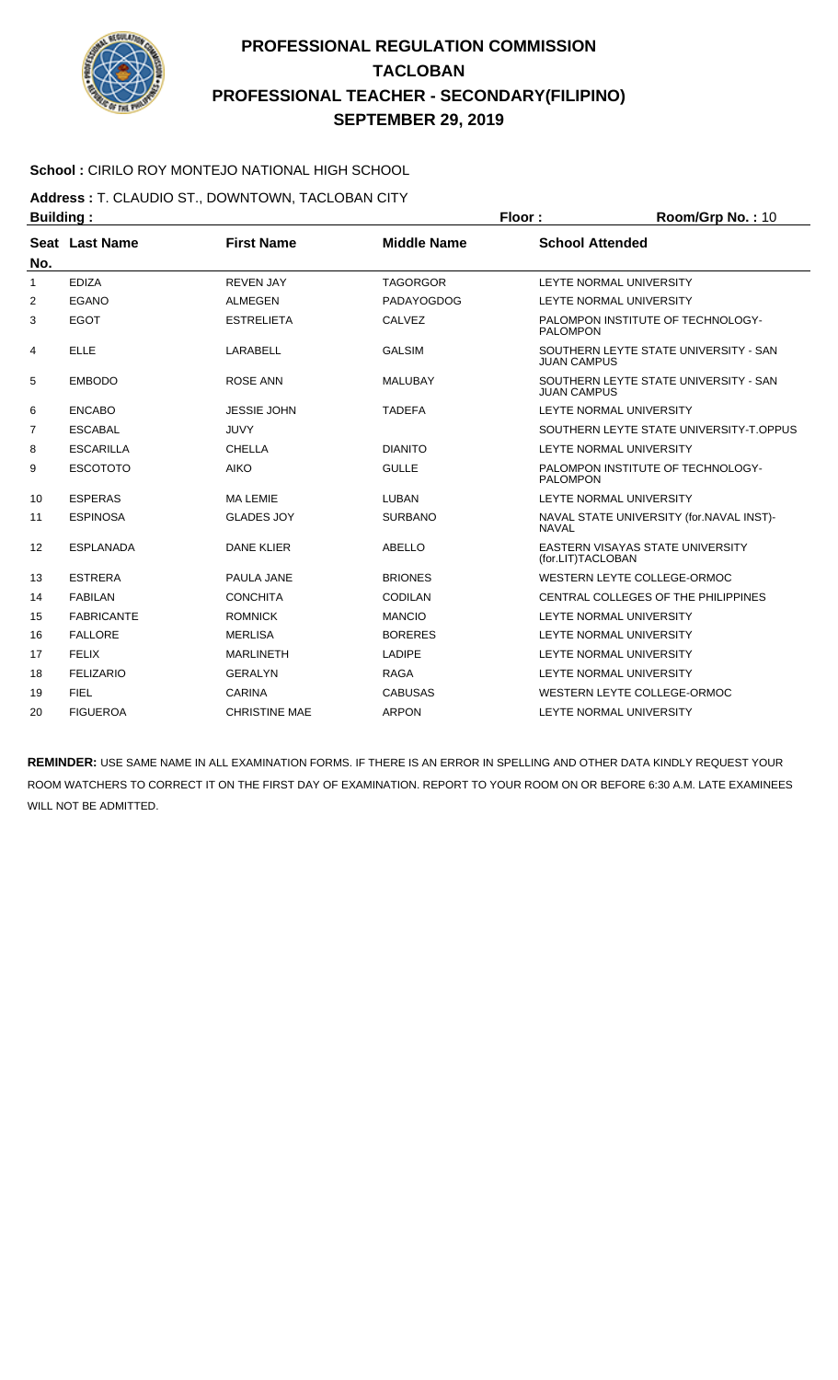

### **School :** CIRILO ROY MONTEJO NATIONAL HIGH SCHOOL

**Address :** T. CLAUDIO ST., DOWNTOWN, TACLOBAN CITY **Building : Floor : Floor : Room/Grp No. : 10** 

|              | . <u>.</u>        |                      |                    |                                                              |
|--------------|-------------------|----------------------|--------------------|--------------------------------------------------------------|
| No.          | Seat Last Name    | <b>First Name</b>    | <b>Middle Name</b> | <b>School Attended</b>                                       |
| $\mathbf{1}$ | <b>EDIZA</b>      | <b>REVEN JAY</b>     | <b>TAGORGOR</b>    | LEYTE NORMAL UNIVERSITY                                      |
| 2            | EGANO             | <b>ALMEGEN</b>       | <b>PADAYOGDOG</b>  | LEYTE NORMAL UNIVERSITY                                      |
| 3            | <b>EGOT</b>       | <b>ESTRELIETA</b>    | <b>CALVEZ</b>      | PALOMPON INSTITUTE OF TECHNOLOGY-<br><b>PALOMPON</b>         |
| 4            | <b>ELLE</b>       | LARABELL             | <b>GALSIM</b>      | SOUTHERN LEYTE STATE UNIVERSITY - SAN<br><b>JUAN CAMPUS</b>  |
| 5            | <b>EMBODO</b>     | <b>ROSE ANN</b>      | <b>MALUBAY</b>     | SOUTHERN LEYTE STATE UNIVERSITY - SAN<br><b>JUAN CAMPUS</b>  |
| 6            | <b>ENCABO</b>     | <b>JESSIE JOHN</b>   | <b>TADEFA</b>      | LEYTE NORMAL UNIVERSITY                                      |
| 7            | <b>ESCABAL</b>    | <b>JUVY</b>          |                    | SOUTHERN LEYTE STATE UNIVERSITY-T.OPPUS                      |
| 8            | <b>ESCARILLA</b>  | <b>CHELLA</b>        | <b>DIANITO</b>     | LEYTE NORMAL UNIVERSITY                                      |
| 9            | <b>ESCOTOTO</b>   | <b>AIKO</b>          | <b>GULLE</b>       | PALOMPON INSTITUTE OF TECHNOLOGY-<br><b>PALOMPON</b>         |
| 10           | <b>ESPERAS</b>    | <b>MA LEMIE</b>      | LUBAN              | LEYTE NORMAL UNIVERSITY                                      |
| 11           | <b>ESPINOSA</b>   | <b>GLADES JOY</b>    | <b>SURBANO</b>     | NAVAL STATE UNIVERSITY (for.NAVAL INST)-<br><b>NAVAL</b>     |
| 12           | <b>ESPLANADA</b>  | <b>DANE KLIER</b>    | <b>ABELLO</b>      | <b>EASTERN VISAYAS STATE UNIVERSITY</b><br>(for.LIT)TACLOBAN |
| 13           | <b>ESTRERA</b>    | PAULA JANE           | <b>BRIONES</b>     | WESTERN LEYTE COLLEGE-ORMOC                                  |
| 14           | <b>FABILAN</b>    | <b>CONCHITA</b>      | CODILAN            | CENTRAL COLLEGES OF THE PHILIPPINES                          |
| 15           | <b>FABRICANTE</b> | <b>ROMNICK</b>       | <b>MANCIO</b>      | LEYTE NORMAL UNIVERSITY                                      |
| 16           | <b>FALLORE</b>    | <b>MERLISA</b>       | <b>BORERES</b>     | LEYTE NORMAL UNIVERSITY                                      |
| 17           | <b>FELIX</b>      | <b>MARLINETH</b>     | <b>LADIPE</b>      | LEYTE NORMAL UNIVERSITY                                      |
| 18           | <b>FELIZARIO</b>  | <b>GERALYN</b>       | <b>RAGA</b>        | LEYTE NORMAL UNIVERSITY                                      |
| 19           | <b>FIEL</b>       | <b>CARINA</b>        | <b>CABUSAS</b>     | WESTERN LEYTE COLLEGE-ORMOC                                  |
| 20           | <b>FIGUEROA</b>   | <b>CHRISTINE MAE</b> | <b>ARPON</b>       | LEYTE NORMAL UNIVERSITY                                      |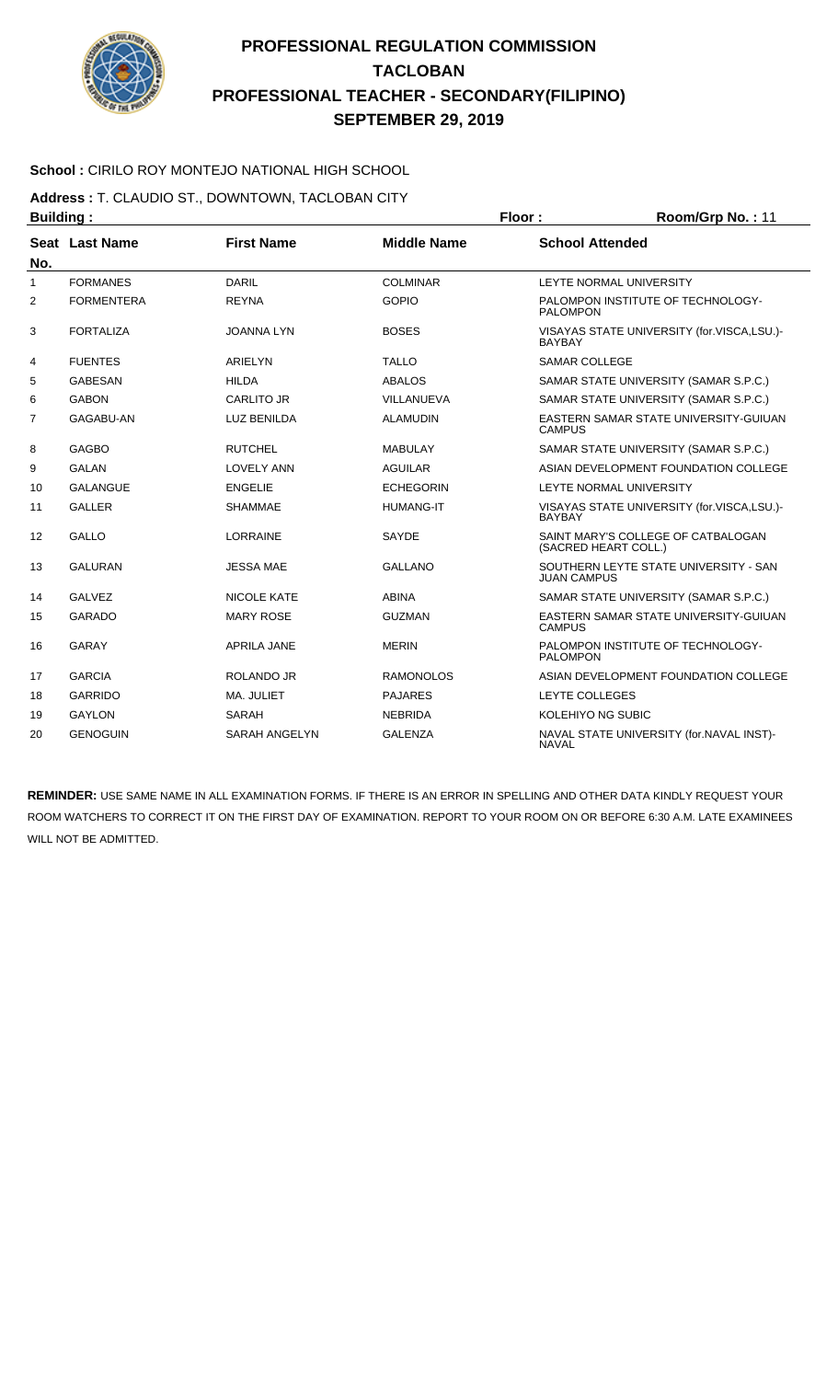

### **School :** CIRILO ROY MONTEJO NATIONAL HIGH SCHOOL

**Address :** T. CLAUDIO ST., DOWNTOWN, TACLOBAN CITY

| <b>Building:</b> |                   |                      | Floor:             | Room/Grp No.: 11                                       |                                            |
|------------------|-------------------|----------------------|--------------------|--------------------------------------------------------|--------------------------------------------|
| No.              | Seat Last Name    | <b>First Name</b>    | <b>Middle Name</b> | <b>School Attended</b>                                 |                                            |
| $\mathbf{1}$     | <b>FORMANES</b>   | <b>DARIL</b>         | <b>COLMINAR</b>    |                                                        | LEYTE NORMAL UNIVERSITY                    |
| $\overline{2}$   | <b>FORMENTERA</b> | <b>REYNA</b>         | <b>GOPIO</b>       | <b>PALOMPON</b>                                        | PALOMPON INSTITUTE OF TECHNOLOGY-          |
| 3                | <b>FORTALIZA</b>  | <b>JOANNA LYN</b>    | <b>BOSES</b>       | <b>BAYBAY</b>                                          | VISAYAS STATE UNIVERSITY (for.VISCA,LSU.)- |
| 4                | <b>FUENTES</b>    | ARIELYN              | <b>TALLO</b>       | <b>SAMAR COLLEGE</b>                                   |                                            |
| 5                | <b>GABESAN</b>    | <b>HILDA</b>         | <b>ABALOS</b>      |                                                        | SAMAR STATE UNIVERSITY (SAMAR S.P.C.)      |
| 6                | <b>GABON</b>      | <b>CARLITO JR</b>    | VILLANUEVA         |                                                        | SAMAR STATE UNIVERSITY (SAMAR S.P.C.)      |
| 7                | GAGABU-AN         | <b>LUZ BENILDA</b>   | <b>ALAMUDIN</b>    | EASTERN SAMAR STATE UNIVERSITY-GUIUAN<br><b>CAMPUS</b> |                                            |
| 8                | <b>GAGBO</b>      | <b>RUTCHEL</b>       | MABULAY            |                                                        | SAMAR STATE UNIVERSITY (SAMAR S.P.C.)      |
| 9                | <b>GALAN</b>      | <b>LOVELY ANN</b>    | <b>AGUILAR</b>     |                                                        | ASIAN DEVELOPMENT FOUNDATION COLLEGE       |
| 10               | <b>GALANGUE</b>   | <b>ENGELIE</b>       | <b>ECHEGORIN</b>   |                                                        | LEYTE NORMAL UNIVERSITY                    |
| 11               | <b>GALLER</b>     | <b>SHAMMAE</b>       | <b>HUMANG-IT</b>   | <b>BAYBAY</b>                                          | VISAYAS STATE UNIVERSITY (for.VISCA,LSU.)- |
| 12               | <b>GALLO</b>      | <b>LORRAINE</b>      | SAYDE              | (SACRED HEART COLL.)                                   | SAINT MARY'S COLLEGE OF CATBALOGAN         |
| 13               | <b>GALURAN</b>    | <b>JESSA MAE</b>     | <b>GALLANO</b>     | <b>JUAN CAMPUS</b>                                     | SOUTHERN LEYTE STATE UNIVERSITY - SAN      |
| 14               | <b>GALVEZ</b>     | <b>NICOLE KATE</b>   | <b>ABINA</b>       |                                                        | SAMAR STATE UNIVERSITY (SAMAR S.P.C.)      |
| 15               | <b>GARADO</b>     | <b>MARY ROSE</b>     | <b>GUZMAN</b>      | <b>CAMPUS</b>                                          | EASTERN SAMAR STATE UNIVERSITY-GUIUAN      |
| 16               | <b>GARAY</b>      | <b>APRILA JANE</b>   | <b>MERIN</b>       | <b>PALOMPON</b>                                        | PALOMPON INSTITUTE OF TECHNOLOGY-          |
| 17               | <b>GARCIA</b>     | <b>ROLANDO JR</b>    | <b>RAMONOLOS</b>   |                                                        | ASIAN DEVELOPMENT FOUNDATION COLLEGE       |
| 18               | <b>GARRIDO</b>    | MA. JULIET           | <b>PAJARES</b>     | LEYTE COLLEGES                                         |                                            |
| 19               | <b>GAYLON</b>     | <b>SARAH</b>         | <b>NEBRIDA</b>     | KOLEHIYO NG SUBIC                                      |                                            |
| 20               | <b>GENOGUIN</b>   | <b>SARAH ANGELYN</b> | <b>GALENZA</b>     | <b>NAVAL</b>                                           | NAVAL STATE UNIVERSITY (for.NAVAL INST)-   |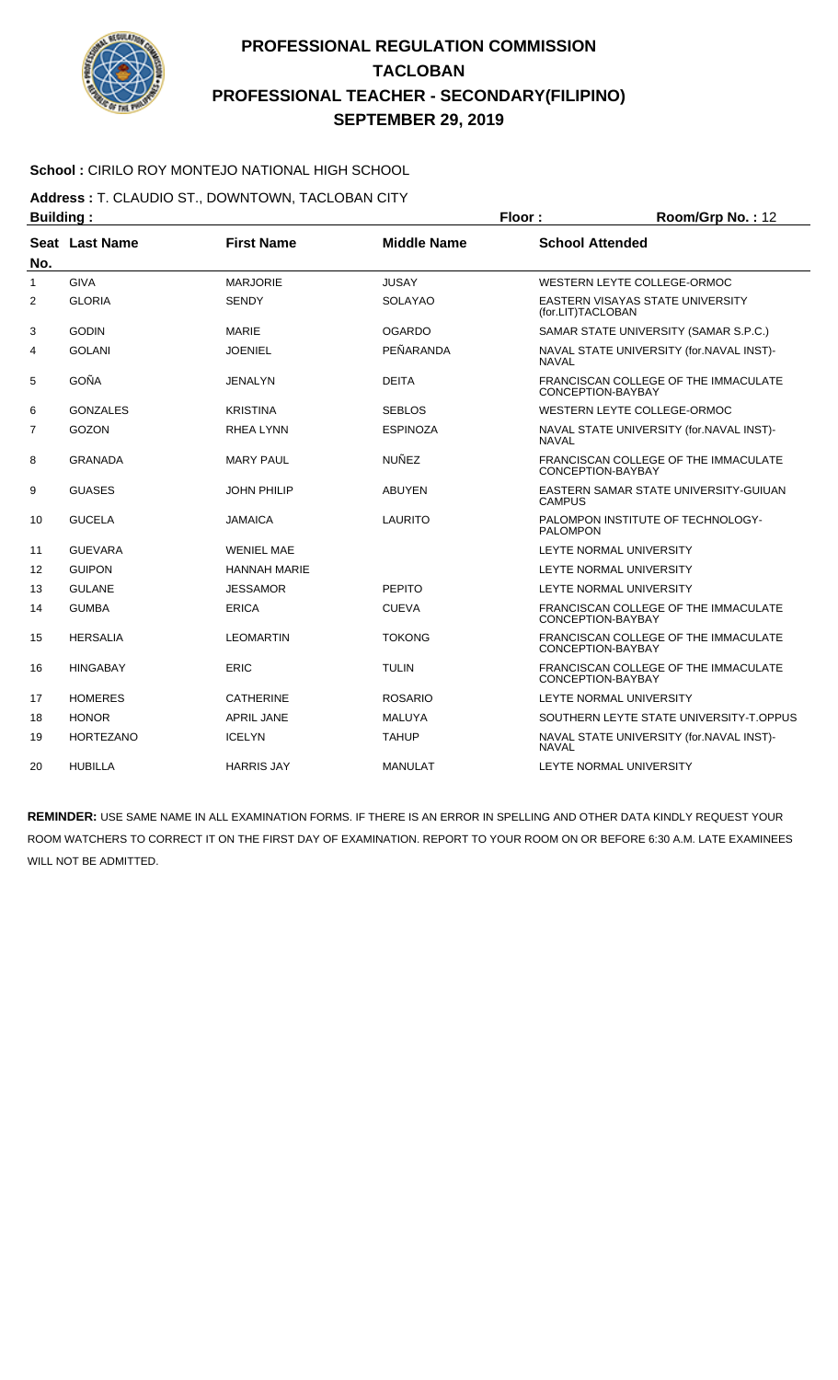

### **School :** CIRILO ROY MONTEJO NATIONAL HIGH SCHOOL

**Address :** T. CLAUDIO ST., DOWNTOWN, TACLOBAN CITY

| <b>Building:</b><br>Seat Last Name<br>No. |                  |                     |                    | Floor:                                                    | Room/Grp No.: 12                         |  |
|-------------------------------------------|------------------|---------------------|--------------------|-----------------------------------------------------------|------------------------------------------|--|
|                                           |                  | <b>First Name</b>   | <b>Middle Name</b> | <b>School Attended</b>                                    |                                          |  |
| 1                                         | <b>GIVA</b>      | <b>MARJORIE</b>     | <b>JUSAY</b>       |                                                           | WESTERN LEYTE COLLEGE-ORMOC              |  |
| 2                                         | <b>GLORIA</b>    | <b>SENDY</b>        | SOLAYAO            | (for.LIT)TACLOBAN                                         | EASTERN VISAYAS STATE UNIVERSITY         |  |
| 3                                         | <b>GODIN</b>     | <b>MARIE</b>        | <b>OGARDO</b>      |                                                           | SAMAR STATE UNIVERSITY (SAMAR S.P.C.)    |  |
| 4                                         | <b>GOLANI</b>    | <b>JOENIEL</b>      | PEÑARANDA          | <b>NAVAL</b>                                              | NAVAL STATE UNIVERSITY (for.NAVAL INST)- |  |
| 5                                         | GOÑA             | JENALYN             | <b>DEITA</b>       | CONCEPTION-BAYBAY                                         | FRANCISCAN COLLEGE OF THE IMMACULATE     |  |
| 6                                         | <b>GONZALES</b>  | <b>KRISTINA</b>     | <b>SEBLOS</b>      |                                                           | WESTERN LEYTE COLLEGE-ORMOC              |  |
| 7                                         | GOZON            | <b>RHEA LYNN</b>    | <b>ESPINOZA</b>    | <b>NAVAL</b>                                              | NAVAL STATE UNIVERSITY (for.NAVAL INST)- |  |
| 8                                         | <b>GRANADA</b>   | <b>MARY PAUL</b>    | <b>NUÑEZ</b>       | FRANCISCAN COLLEGE OF THE IMMACULATE<br>CONCEPTION-BAYBAY |                                          |  |
| 9                                         | <b>GUASES</b>    | <b>JOHN PHILIP</b>  | <b>ABUYEN</b>      | EASTERN SAMAR STATE UNIVERSITY-GUIUAN<br><b>CAMPUS</b>    |                                          |  |
| 10                                        | <b>GUCELA</b>    | <b>JAMAICA</b>      | <b>LAURITO</b>     | <b>PALOMPON</b>                                           | PALOMPON INSTITUTE OF TECHNOLOGY-        |  |
| 11                                        | <b>GUEVARA</b>   | <b>WENIEL MAE</b>   |                    |                                                           | LEYTE NORMAL UNIVERSITY                  |  |
| 12                                        | <b>GUIPON</b>    | <b>HANNAH MARIE</b> |                    |                                                           | LEYTE NORMAL UNIVERSITY                  |  |
| 13                                        | <b>GULANE</b>    | <b>JESSAMOR</b>     | <b>PEPITO</b>      |                                                           | LEYTE NORMAL UNIVERSITY                  |  |
| 14                                        | <b>GUMBA</b>     | <b>ERICA</b>        | <b>CUEVA</b>       | CONCEPTION-BAYBAY                                         | FRANCISCAN COLLEGE OF THE IMMACULATE     |  |
| 15                                        | <b>HERSALIA</b>  | <b>LEOMARTIN</b>    | <b>TOKONG</b>      | CONCEPTION-BAYBAY                                         | FRANCISCAN COLLEGE OF THE IMMACULATE     |  |
| 16                                        | <b>HINGABAY</b>  | <b>ERIC</b>         | TULIN              | CONCEPTION-BAYBAY                                         | FRANCISCAN COLLEGE OF THE IMMACULATE     |  |
| 17                                        | <b>HOMERES</b>   | <b>CATHERINE</b>    | <b>ROSARIO</b>     |                                                           | LEYTE NORMAL UNIVERSITY                  |  |
| 18                                        | <b>HONOR</b>     | <b>APRIL JANE</b>   | <b>MALUYA</b>      |                                                           | SOUTHERN LEYTE STATE UNIVERSITY-T.OPPUS  |  |
| 19                                        | <b>HORTEZANO</b> | <b>ICELYN</b>       | <b>TAHUP</b>       | <b>NAVAL</b>                                              | NAVAL STATE UNIVERSITY (for.NAVAL INST)- |  |
| 20                                        | <b>HUBILLA</b>   | <b>HARRIS JAY</b>   | <b>MANULAT</b>     |                                                           | LEYTE NORMAL UNIVERSITY                  |  |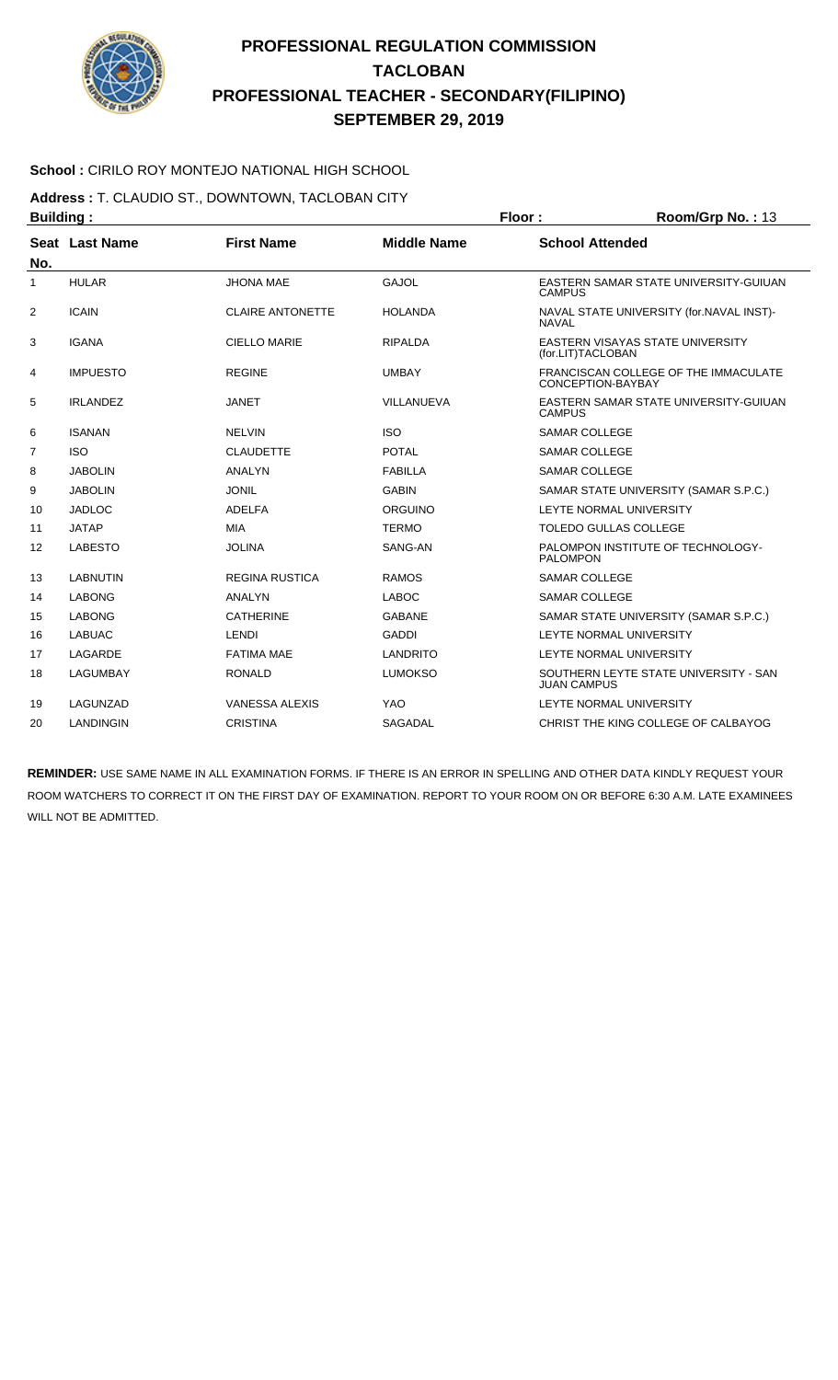

### **School :** CIRILO ROY MONTEJO NATIONAL HIGH SCHOOL

**Address :** T. CLAUDIO ST., DOWNTOWN, TACLOBAN CITY

| <b>Building:</b> |                 |                         |                    | Floor:<br>Room/Grp No.: 13 |                                                           |
|------------------|-----------------|-------------------------|--------------------|----------------------------|-----------------------------------------------------------|
| No.              | Seat Last Name  | <b>First Name</b>       | <b>Middle Name</b> | <b>School Attended</b>     |                                                           |
| 1                | <b>HULAR</b>    | <b>JHONA MAE</b>        | <b>GAJOL</b>       | <b>CAMPUS</b>              | EASTERN SAMAR STATE UNIVERSITY-GUIUAN                     |
| 2                | <b>ICAIN</b>    | <b>CLAIRE ANTONETTE</b> | <b>HOLANDA</b>     | <b>NAVAL</b>               | NAVAL STATE UNIVERSITY (for.NAVAL INST)-                  |
| 3                | <b>IGANA</b>    | <b>CIELLO MARIE</b>     | <b>RIPALDA</b>     | (for.LIT)TACLOBAN          | EASTERN VISAYAS STATE UNIVERSITY                          |
| 4                | <b>IMPUESTO</b> | <b>REGINE</b>           | <b>UMBAY</b>       |                            | FRANCISCAN COLLEGE OF THE IMMACULATE<br>CONCEPTION-BAYBAY |
| 5                | <b>IRLANDEZ</b> | <b>JANET</b>            | VILLANUEVA         | <b>CAMPUS</b>              | EASTERN SAMAR STATE UNIVERSITY-GUIUAN                     |
| 6                | <b>ISANAN</b>   | <b>NELVIN</b>           | <b>ISO</b>         | <b>SAMAR COLLEGE</b>       |                                                           |
| $\overline{7}$   | <b>ISO</b>      | <b>CLAUDETTE</b>        | <b>POTAL</b>       | <b>SAMAR COLLEGE</b>       |                                                           |
| 8                | <b>JABOLIN</b>  | ANALYN                  | <b>FABILLA</b>     | <b>SAMAR COLLEGE</b>       |                                                           |
| 9                | <b>JABOLIN</b>  | <b>JONIL</b>            | <b>GABIN</b>       |                            | SAMAR STATE UNIVERSITY (SAMAR S.P.C.)                     |
| 10               | <b>JADLOC</b>   | <b>ADELFA</b>           | ORGUINO            |                            | LEYTE NORMAL UNIVERSITY                                   |
| 11               | <b>JATAP</b>    | <b>MIA</b>              | <b>TERMO</b>       |                            | <b>TOLEDO GULLAS COLLEGE</b>                              |
| 12               | <b>LABESTO</b>  | <b>JOLINA</b>           | SANG-AN            | <b>PALOMPON</b>            | PALOMPON INSTITUTE OF TECHNOLOGY-                         |
| 13               | <b>LABNUTIN</b> | <b>REGINA RUSTICA</b>   | <b>RAMOS</b>       | <b>SAMAR COLLEGE</b>       |                                                           |
| 14               | <b>LABONG</b>   | <b>ANALYN</b>           | <b>LABOC</b>       | <b>SAMAR COLLEGE</b>       |                                                           |
| 15               | <b>LABONG</b>   | <b>CATHERINE</b>        | <b>GABANE</b>      |                            | SAMAR STATE UNIVERSITY (SAMAR S.P.C.)                     |
| 16               | <b>LABUAC</b>   | <b>LENDI</b>            | <b>GADDI</b>       |                            | LEYTE NORMAL UNIVERSITY                                   |
| 17               | LAGARDE         | <b>FATIMA MAE</b>       | <b>LANDRITO</b>    |                            | LEYTE NORMAL UNIVERSITY                                   |
| 18               | <b>LAGUMBAY</b> | <b>RONALD</b>           | <b>LUMOKSO</b>     | <b>JUAN CAMPUS</b>         | SOUTHERN LEYTE STATE UNIVERSITY - SAN                     |
| 19               | LAGUNZAD        | <b>VANESSA ALEXIS</b>   | <b>YAO</b>         |                            | LEYTE NORMAL UNIVERSITY                                   |
| 20               | LANDINGIN       | <b>CRISTINA</b>         | <b>SAGADAL</b>     |                            | CHRIST THE KING COLLEGE OF CALBAYOG                       |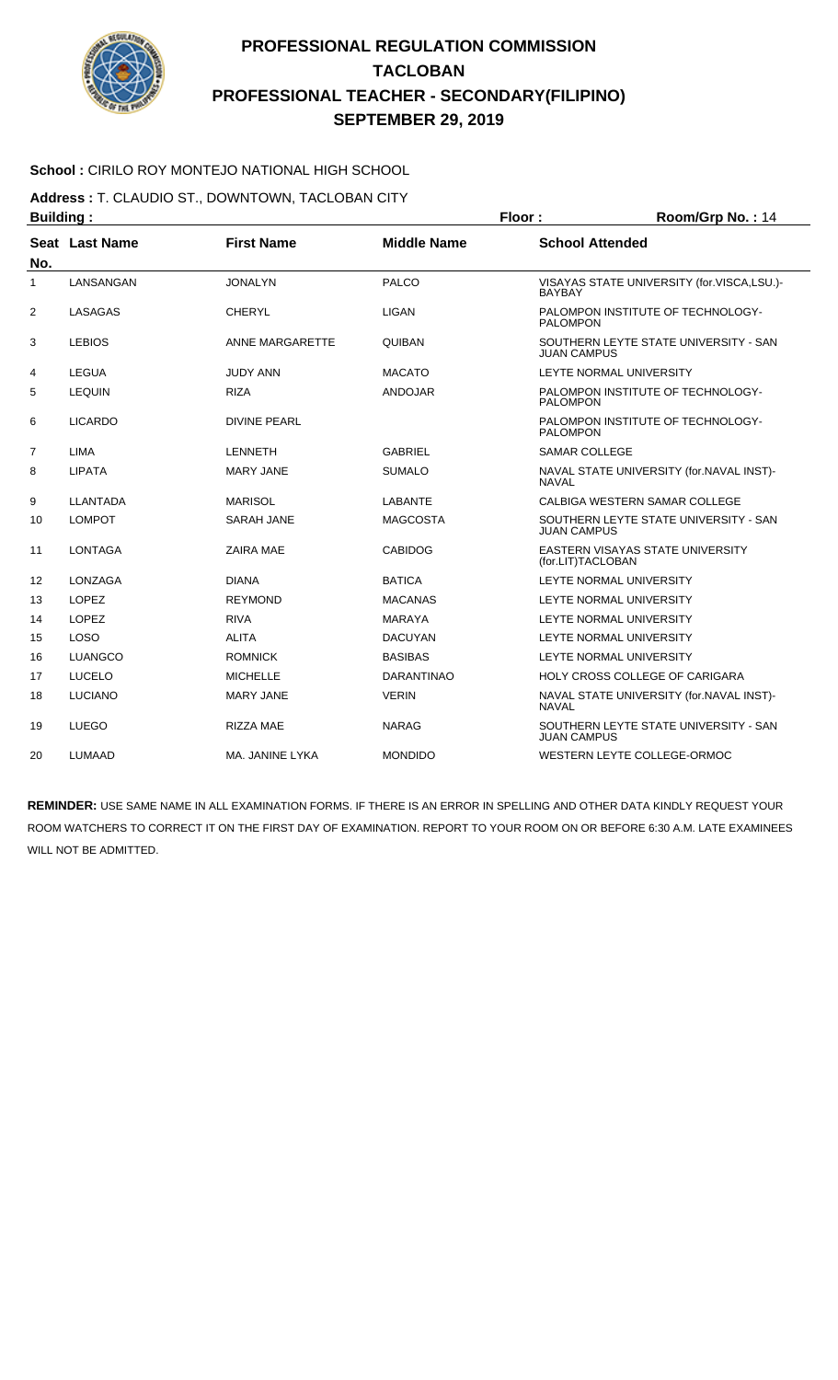

### **School :** CIRILO ROY MONTEJO NATIONAL HIGH SCHOOL

**Address :** T. CLAUDIO ST., DOWNTOWN, TACLOBAN CITY

| <b>Building:</b> |                |                     |                    | Floor:<br>Room/Grp No.: 14 |                                            |  |
|------------------|----------------|---------------------|--------------------|----------------------------|--------------------------------------------|--|
| No.              | Seat Last Name | <b>First Name</b>   | <b>Middle Name</b> | <b>School Attended</b>     |                                            |  |
| 1                | LANSANGAN      | <b>JONALYN</b>      | <b>PALCO</b>       | <b>BAYBAY</b>              | VISAYAS STATE UNIVERSITY (for.VISCA,LSU.)- |  |
| 2                | LASAGAS        | <b>CHERYL</b>       | <b>LIGAN</b>       | <b>PALOMPON</b>            | PALOMPON INSTITUTE OF TECHNOLOGY-          |  |
| 3                | <b>LEBIOS</b>  | ANNE MARGARETTE     | <b>QUIBAN</b>      | JUAN CAMPUS                | SOUTHERN LEYTE STATE UNIVERSITY - SAN      |  |
| 4                | <b>LEGUA</b>   | <b>JUDY ANN</b>     | <b>MACATO</b>      |                            | LEYTE NORMAL UNIVERSITY                    |  |
| 5                | <b>LEQUIN</b>  | <b>RIZA</b>         | <b>ANDOJAR</b>     | <b>PALOMPON</b>            | PALOMPON INSTITUTE OF TECHNOLOGY-          |  |
| 6                | <b>LICARDO</b> | <b>DIVINE PEARL</b> |                    | <b>PALOMPON</b>            | PALOMPON INSTITUTE OF TECHNOLOGY-          |  |
| 7                | <b>LIMA</b>    | LENNETH             | <b>GABRIEL</b>     | <b>SAMAR COLLEGE</b>       |                                            |  |
| 8                | <b>LIPATA</b>  | <b>MARY JANE</b>    | <b>SUMALO</b>      | <b>NAVAL</b>               | NAVAL STATE UNIVERSITY (for.NAVAL INST)-   |  |
| 9                | LLANTADA       | <b>MARISOL</b>      | <b>LABANTE</b>     |                            | CALBIGA WESTERN SAMAR COLLEGE              |  |
| 10               | <b>LOMPOT</b>  | <b>SARAH JANE</b>   | <b>MAGCOSTA</b>    | <b>JUAN CAMPUS</b>         | SOUTHERN LEYTE STATE UNIVERSITY - SAN      |  |
| 11               | <b>LONTAGA</b> | <b>ZAIRA MAE</b>    | <b>CABIDOG</b>     | (for.LIT)TACLOBAN          | EASTERN VISAYAS STATE UNIVERSITY           |  |
| 12               | LONZAGA        | <b>DIANA</b>        | <b>BATICA</b>      |                            | LEYTE NORMAL UNIVERSITY                    |  |
| 13               | <b>LOPEZ</b>   | <b>REYMOND</b>      | <b>MACANAS</b>     |                            | LEYTE NORMAL UNIVERSITY                    |  |
| 14               | <b>LOPEZ</b>   | <b>RIVA</b>         | <b>MARAYA</b>      |                            | LEYTE NORMAL UNIVERSITY                    |  |
| 15               | <b>LOSO</b>    | <b>ALITA</b>        | <b>DACUYAN</b>     |                            | LEYTE NORMAL UNIVERSITY                    |  |
| 16               | <b>LUANGCO</b> | <b>ROMNICK</b>      | <b>BASIBAS</b>     |                            | LEYTE NORMAL UNIVERSITY                    |  |
| 17               | <b>LUCELO</b>  | <b>MICHELLE</b>     | <b>DARANTINAO</b>  |                            | <b>HOLY CROSS COLLEGE OF CARIGARA</b>      |  |
| 18               | <b>LUCIANO</b> | <b>MARY JANE</b>    | <b>VERIN</b>       | NAVAL                      | NAVAL STATE UNIVERSITY (for.NAVAL INST)-   |  |
| 19               | <b>LUEGO</b>   | <b>RIZZA MAE</b>    | <b>NARAG</b>       | <b>JUAN CAMPUS</b>         | SOUTHERN LEYTE STATE UNIVERSITY - SAN      |  |
| 20               | <b>LUMAAD</b>  | MA. JANINE LYKA     | <b>MONDIDO</b>     |                            | WESTERN LEYTE COLLEGE-ORMOC                |  |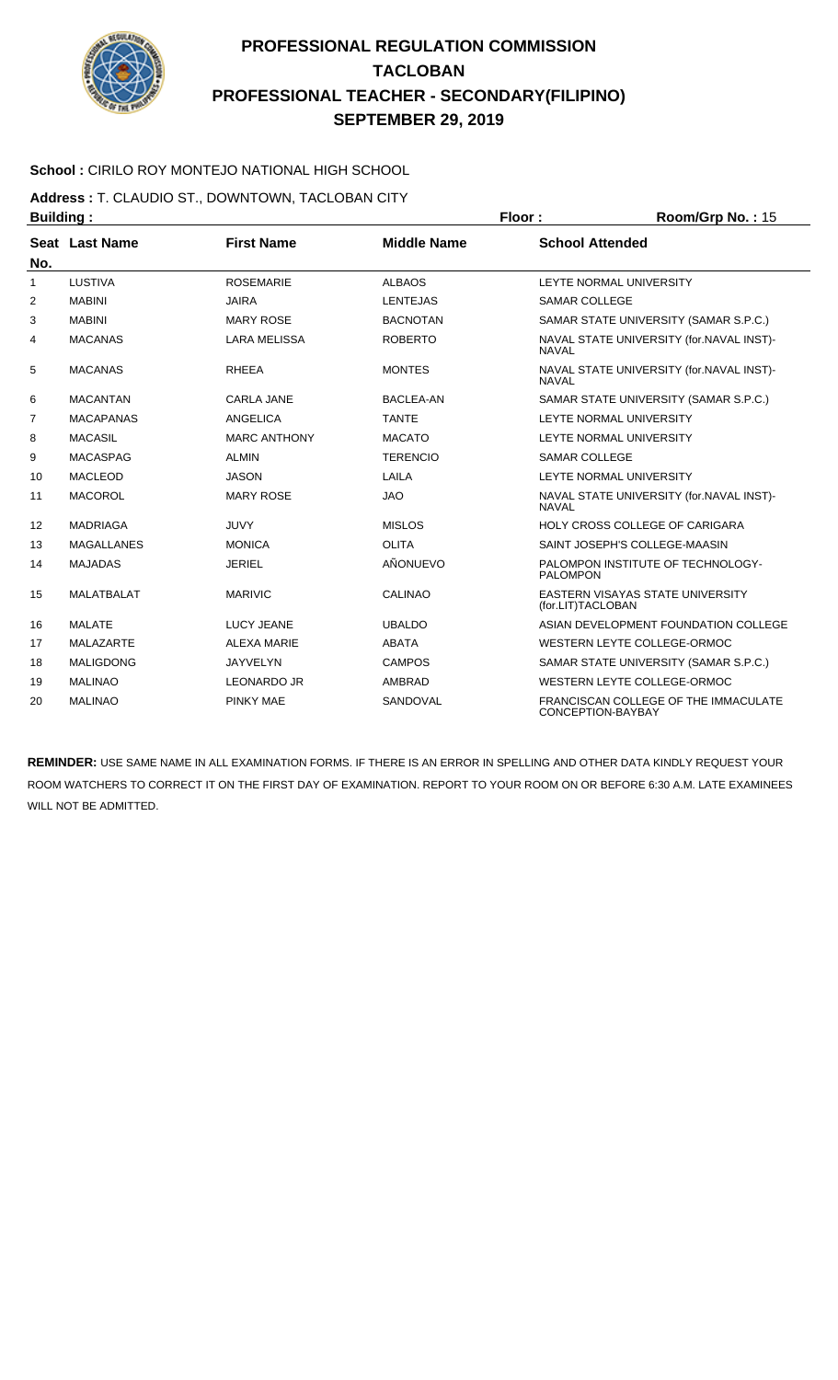

### **School :** CIRILO ROY MONTEJO NATIONAL HIGH SCHOOL

**Address :** T. CLAUDIO ST., DOWNTOWN, TACLOBAN CITY **Building : Floor : Floor : Room/Grp No. : 15** 

| No. | Seat Last Name    | <b>First Name</b>   | <b>Middle Name</b> | <b>School Attended</b>                                    |
|-----|-------------------|---------------------|--------------------|-----------------------------------------------------------|
| 1   | <b>LUSTIVA</b>    | <b>ROSEMARIE</b>    | <b>ALBAOS</b>      | LEYTE NORMAL UNIVERSITY                                   |
| 2   | <b>MABINI</b>     | <b>JAIRA</b>        | <b>LENTEJAS</b>    | <b>SAMAR COLLEGE</b>                                      |
| 3   | <b>MABINI</b>     | <b>MARY ROSE</b>    | <b>BACNOTAN</b>    | SAMAR STATE UNIVERSITY (SAMAR S.P.C.)                     |
| 4   | <b>MACANAS</b>    | <b>LARA MELISSA</b> | <b>ROBERTO</b>     | NAVAL STATE UNIVERSITY (for.NAVAL INST)-<br><b>NAVAL</b>  |
| 5   | <b>MACANAS</b>    | <b>RHEEA</b>        | <b>MONTES</b>      | NAVAL STATE UNIVERSITY (for.NAVAL INST)-<br><b>NAVAL</b>  |
| 6   | <b>MACANTAN</b>   | <b>CARLA JANE</b>   | <b>BACLEA-AN</b>   | SAMAR STATE UNIVERSITY (SAMAR S.P.C.)                     |
| 7   | <b>MACAPANAS</b>  | <b>ANGELICA</b>     | <b>TANTE</b>       | LEYTE NORMAL UNIVERSITY                                   |
| 8   | <b>MACASIL</b>    | <b>MARC ANTHONY</b> | <b>MACATO</b>      | LEYTE NORMAL UNIVERSITY                                   |
| 9   | <b>MACASPAG</b>   | <b>ALMIN</b>        | <b>TERENCIO</b>    | <b>SAMAR COLLEGE</b>                                      |
| 10  | <b>MACLEOD</b>    | <b>JASON</b>        | LAILA              | LEYTE NORMAL UNIVERSITY                                   |
| 11  | <b>MACOROL</b>    | <b>MARY ROSE</b>    | <b>JAO</b>         | NAVAL STATE UNIVERSITY (for.NAVAL INST)-<br><b>NAVAL</b>  |
| 12  | <b>MADRIAGA</b>   | <b>JUVY</b>         | <b>MISLOS</b>      | HOLY CROSS COLLEGE OF CARIGARA                            |
| 13  | <b>MAGALLANES</b> | <b>MONICA</b>       | <b>OLITA</b>       | SAINT JOSEPH'S COLLEGE-MAASIN                             |
| 14  | <b>MAJADAS</b>    | <b>JERIEL</b>       | AÑONUEVO           | PALOMPON INSTITUTE OF TECHNOLOGY-<br><b>PALOMPON</b>      |
| 15  | <b>MALATBALAT</b> | <b>MARIVIC</b>      | <b>CALINAO</b>     | EASTERN VISAYAS STATE UNIVERSITY<br>(for.LIT)TACLOBAN     |
| 16  | <b>MALATE</b>     | <b>LUCY JEANE</b>   | <b>UBALDO</b>      | ASIAN DEVELOPMENT FOUNDATION COLLEGE                      |
| 17  | <b>MALAZARTE</b>  | <b>ALEXA MARIE</b>  | ABATA              | WESTERN LEYTE COLLEGE-ORMOC                               |
| 18  | <b>MALIGDONG</b>  | <b>JAYVELYN</b>     | <b>CAMPOS</b>      | SAMAR STATE UNIVERSITY (SAMAR S.P.C.)                     |
| 19  | <b>MALINAO</b>    | <b>LEONARDO JR</b>  | AMBRAD             | WESTERN LEYTE COLLEGE-ORMOC                               |
| 20  | <b>MALINAO</b>    | PINKY MAE           | SANDOVAL           | FRANCISCAN COLLEGE OF THE IMMACULATE<br>CONCEPTION-BAYBAY |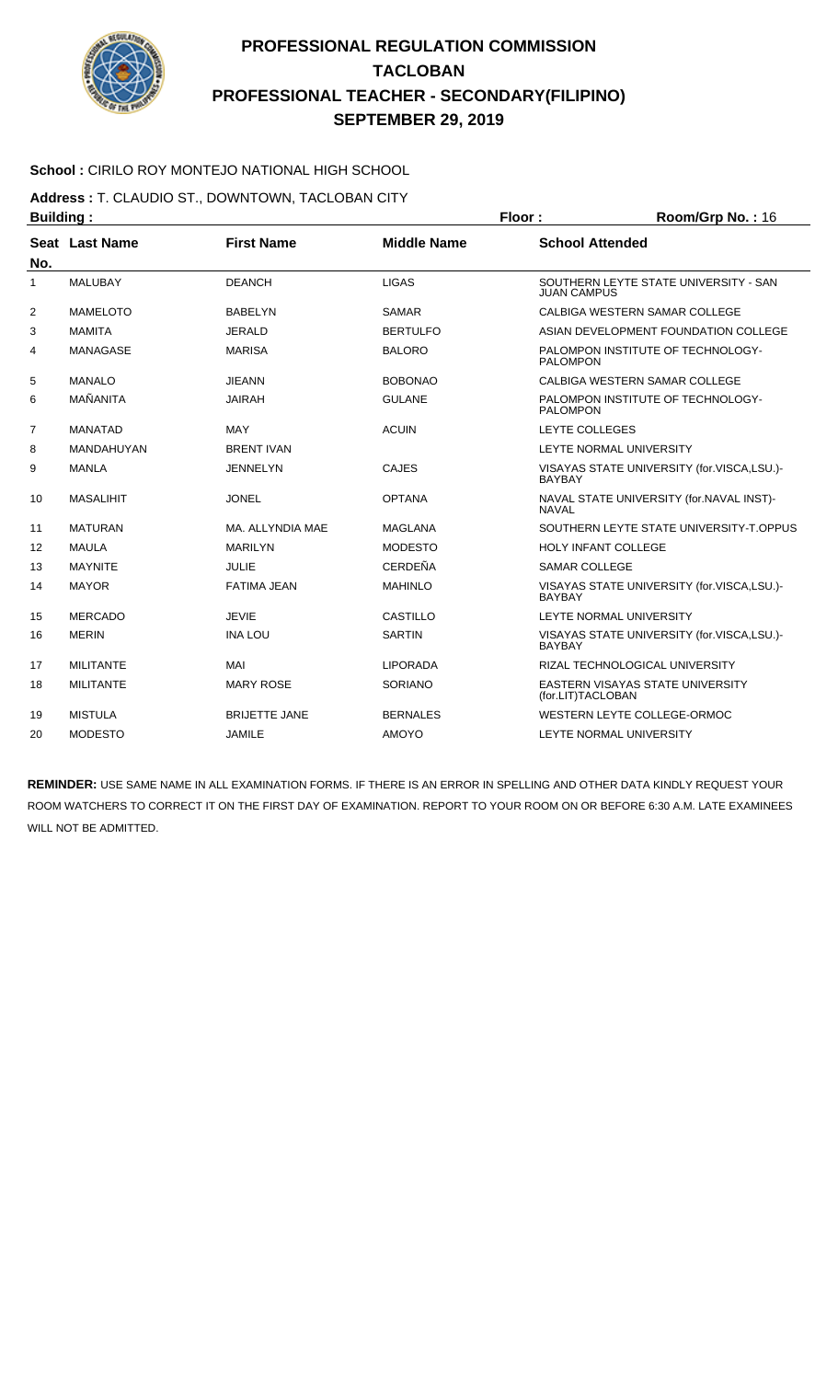

### **School :** CIRILO ROY MONTEJO NATIONAL HIGH SCHOOL

**Address :** T. CLAUDIO ST., DOWNTOWN, TACLOBAN CITY

| <b>Building:</b> |                  |                      |                    | Floor:<br>Room/Grp No.: 16 |                                            |  |
|------------------|------------------|----------------------|--------------------|----------------------------|--------------------------------------------|--|
|                  | Seat Last Name   | <b>First Name</b>    | <b>Middle Name</b> | <b>School Attended</b>     |                                            |  |
| No.              |                  |                      |                    |                            |                                            |  |
| 1                | <b>MALUBAY</b>   | <b>DEANCH</b>        | <b>LIGAS</b>       | <b>JUAN CAMPUS</b>         | SOUTHERN LEYTE STATE UNIVERSITY - SAN      |  |
| $\overline{2}$   | <b>MAMELOTO</b>  | <b>BABELYN</b>       | <b>SAMAR</b>       |                            | CALBIGA WESTERN SAMAR COLLEGE              |  |
| 3                | <b>MAMITA</b>    | <b>JERALD</b>        | <b>BERTULFO</b>    |                            | ASIAN DEVELOPMENT FOUNDATION COLLEGE       |  |
| 4                | <b>MANAGASE</b>  | <b>MARISA</b>        | <b>BALORO</b>      | <b>PALOMPON</b>            | PALOMPON INSTITUTE OF TECHNOLOGY-          |  |
| 5                | <b>MANALO</b>    | <b>JIEANN</b>        | <b>BOBONAO</b>     |                            | CALBIGA WESTERN SAMAR COLLEGE              |  |
| 6                | MAÑANITA         | <b>JAIRAH</b>        | <b>GULANE</b>      | <b>PALOMPON</b>            | PALOMPON INSTITUTE OF TECHNOLOGY-          |  |
| $\overline{7}$   | <b>MANATAD</b>   | MAY                  | <b>ACUIN</b>       | LEYTE COLLEGES             |                                            |  |
| 8                | MANDAHUYAN       | <b>BRENT IVAN</b>    |                    |                            | LEYTE NORMAL UNIVERSITY                    |  |
| 9                | <b>MANLA</b>     | <b>JENNELYN</b>      | <b>CAJES</b>       | <b>BAYBAY</b>              | VISAYAS STATE UNIVERSITY (for.VISCA,LSU.)- |  |
| 10               | <b>MASALIHIT</b> | <b>JONEL</b>         | <b>OPTANA</b>      | <b>NAVAL</b>               | NAVAL STATE UNIVERSITY (for.NAVAL INST)-   |  |
| 11               | <b>MATURAN</b>   | MA. ALLYNDIA MAE     | MAGLANA            |                            | SOUTHERN LEYTE STATE UNIVERSITY-T.OPPUS    |  |
| 12               | <b>MAULA</b>     | <b>MARILYN</b>       | <b>MODESTO</b>     |                            | <b>HOLY INFANT COLLEGE</b>                 |  |
| 13               | <b>MAYNITE</b>   | JULIE                | CERDEÑA            | <b>SAMAR COLLEGE</b>       |                                            |  |
| 14               | <b>MAYOR</b>     | <b>FATIMA JEAN</b>   | <b>MAHINLO</b>     | <b>BAYBAY</b>              | VISAYAS STATE UNIVERSITY (for.VISCA,LSU.)- |  |
| 15               | <b>MERCADO</b>   | <b>JEVIE</b>         | CASTILLO           |                            | LEYTE NORMAL UNIVERSITY                    |  |
| 16               | <b>MERIN</b>     | <b>INA LOU</b>       | <b>SARTIN</b>      | <b>BAYBAY</b>              | VISAYAS STATE UNIVERSITY (for.VISCA,LSU.)- |  |
| 17               | <b>MILITANTE</b> | MAI                  | <b>LIPORADA</b>    |                            | RIZAL TECHNOLOGICAL UNIVERSITY             |  |
| 18               | <b>MILITANTE</b> | <b>MARY ROSE</b>     | <b>SORIANO</b>     | (for.LIT)TACLOBAN          | EASTERN VISAYAS STATE UNIVERSITY           |  |
| 19               | <b>MISTULA</b>   | <b>BRIJETTE JANE</b> | <b>BERNALES</b>    |                            | WESTERN LEYTE COLLEGE-ORMOC                |  |
| 20               | <b>MODESTO</b>   | <b>JAMILE</b>        | <b>AMOYO</b>       |                            | LEYTE NORMAL UNIVERSITY                    |  |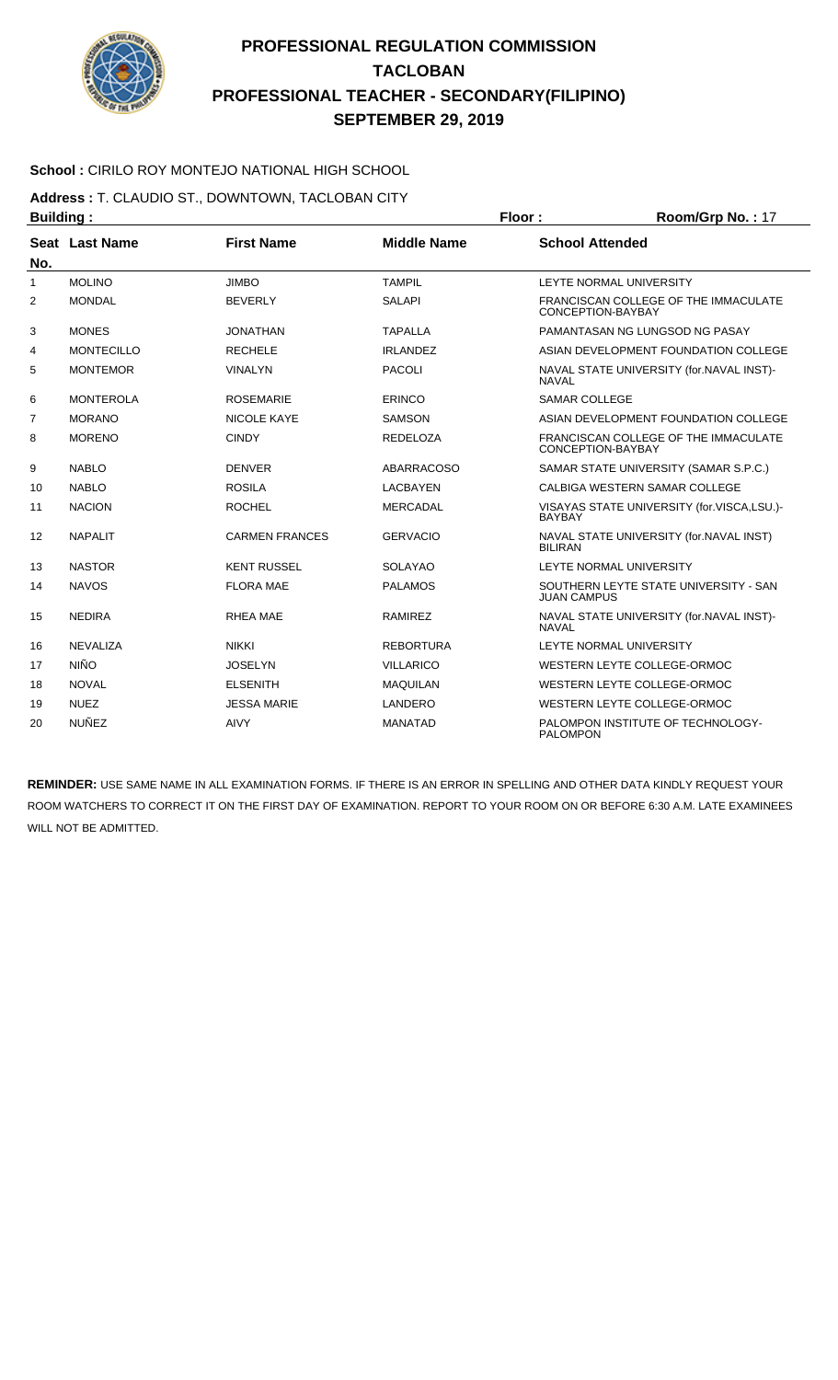

### **School :** CIRILO ROY MONTEJO NATIONAL HIGH SCHOOL

**Address :** T. CLAUDIO ST., DOWNTOWN, TACLOBAN CITY

| <b>Building:</b> |                   |                       | Floor:             | Room/Grp No.: 17       |                                            |
|------------------|-------------------|-----------------------|--------------------|------------------------|--------------------------------------------|
|                  | Seat Last Name    | <b>First Name</b>     | <b>Middle Name</b> | <b>School Attended</b> |                                            |
| No.              |                   |                       |                    |                        |                                            |
| 1                | <b>MOLINO</b>     | <b>JIMBO</b>          | <b>TAMPIL</b>      |                        | LEYTE NORMAL UNIVERSITY                    |
| 2                | <b>MONDAL</b>     | <b>BEVERLY</b>        | <b>SALAPI</b>      | CONCEPTION-BAYBAY      | FRANCISCAN COLLEGE OF THE IMMACULATE       |
| 3                | <b>MONES</b>      | <b>JONATHAN</b>       | <b>TAPALLA</b>     |                        | PAMANTASAN NG LUNGSOD NG PASAY             |
| 4                | <b>MONTECILLO</b> | <b>RECHELE</b>        | <b>IRLANDEZ</b>    |                        | ASIAN DEVELOPMENT FOUNDATION COLLEGE       |
| 5                | <b>MONTEMOR</b>   | <b>VINALYN</b>        | <b>PACOLI</b>      | <b>NAVAL</b>           | NAVAL STATE UNIVERSITY (for.NAVAL INST)-   |
| 6                | <b>MONTEROLA</b>  | <b>ROSEMARIE</b>      | ERINCO             | <b>SAMAR COLLEGE</b>   |                                            |
| 7                | <b>MORANO</b>     | <b>NICOLE KAYE</b>    | <b>SAMSON</b>      |                        | ASIAN DEVELOPMENT FOUNDATION COLLEGE       |
| 8                | <b>MORENO</b>     | <b>CINDY</b>          | <b>REDELOZA</b>    | CONCEPTION-BAYBAY      | FRANCISCAN COLLEGE OF THE IMMACULATE       |
| 9                | <b>NABLO</b>      | <b>DENVER</b>         | <b>ABARRACOSO</b>  |                        | SAMAR STATE UNIVERSITY (SAMAR S.P.C.)      |
| 10               | <b>NABLO</b>      | <b>ROSILA</b>         | <b>LACBAYEN</b>    |                        | CALBIGA WESTERN SAMAR COLLEGE              |
| 11               | <b>NACION</b>     | <b>ROCHEL</b>         | <b>MERCADAL</b>    | <b>BAYBAY</b>          | VISAYAS STATE UNIVERSITY (for.VISCA,LSU.)- |
| 12               | <b>NAPALIT</b>    | <b>CARMEN FRANCES</b> | <b>GERVACIO</b>    | <b>BILIRAN</b>         | NAVAL STATE UNIVERSITY (for.NAVAL INST)    |
| 13               | <b>NASTOR</b>     | <b>KENT RUSSEL</b>    | <b>SOLAYAO</b>     |                        | LEYTE NORMAL UNIVERSITY                    |
| 14               | <b>NAVOS</b>      | <b>FLORA MAE</b>      | <b>PALAMOS</b>     | <b>JUAN CAMPUS</b>     | SOUTHERN LEYTE STATE UNIVERSITY - SAN      |
| 15               | <b>NEDIRA</b>     | <b>RHEA MAE</b>       | <b>RAMIREZ</b>     | <b>NAVAL</b>           | NAVAL STATE UNIVERSITY (for.NAVAL INST)-   |
| 16               | <b>NEVALIZA</b>   | <b>NIKKI</b>          | <b>REBORTURA</b>   |                        | LEYTE NORMAL UNIVERSITY                    |
| 17               | <b>NIÑO</b>       | <b>JOSELYN</b>        | <b>VILLARICO</b>   |                        | WESTERN LEYTE COLLEGE-ORMOC                |
| 18               | <b>NOVAL</b>      | <b>ELSENITH</b>       | <b>MAQUILAN</b>    |                        | WESTERN LEYTE COLLEGE-ORMOC                |
| 19               | <b>NUEZ</b>       | <b>JESSA MARIE</b>    | LANDERO            |                        | WESTERN LEYTE COLLEGE-ORMOC                |
| 20               | <b>NUÑEZ</b>      | <b>AIVY</b>           | <b>MANATAD</b>     | <b>PALOMPON</b>        | PALOMPON INSTITUTE OF TECHNOLOGY-          |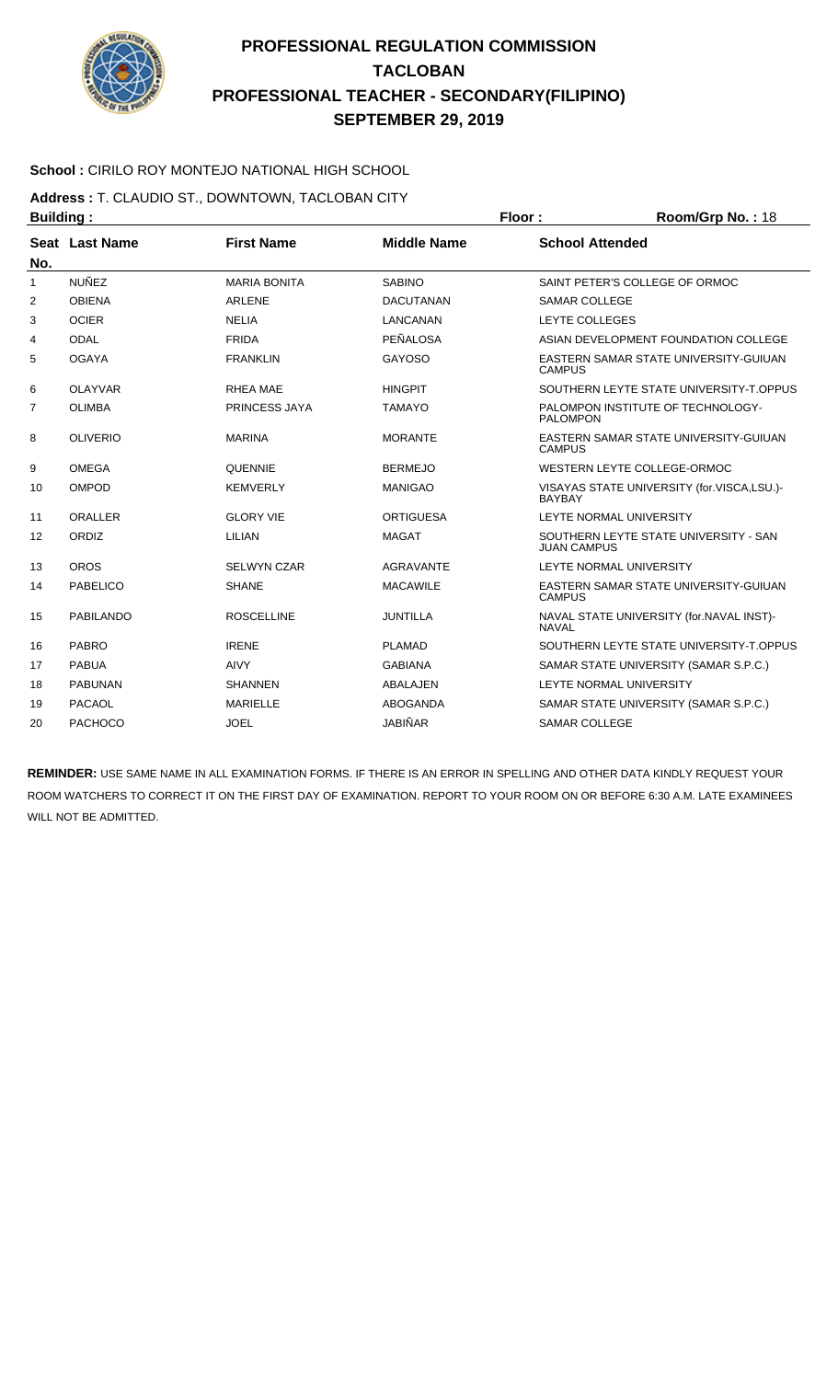

### **School :** CIRILO ROY MONTEJO NATIONAL HIGH SCHOOL

**Address :** T. CLAUDIO ST., DOWNTOWN, TACLOBAN CITY **Building : Floor : Room/Grp No. :** 18

| No. | Seat Last Name  | <b>First Name</b>   | <b>Middle Name</b> | <b>School Attended</b>                                      |
|-----|-----------------|---------------------|--------------------|-------------------------------------------------------------|
| 1   | <b>NUÑEZ</b>    | <b>MARIA BONITA</b> | <b>SABINO</b>      | SAINT PETER'S COLLEGE OF ORMOC                              |
| 2   | <b>OBIENA</b>   | <b>ARLENE</b>       | <b>DACUTANAN</b>   | <b>SAMAR COLLEGE</b>                                        |
| 3   | <b>OCIER</b>    | <b>NELIA</b>        | <b>LANCANAN</b>    | <b>LEYTE COLLEGES</b>                                       |
| 4   | <b>ODAL</b>     | <b>FRIDA</b>        | PEÑALOSA           | ASIAN DEVELOPMENT FOUNDATION COLLEGE                        |
| 5   | <b>OGAYA</b>    | <b>FRANKLIN</b>     | <b>GAYOSO</b>      | EASTERN SAMAR STATE UNIVERSITY-GUIUAN<br>CAMPUS             |
| 6   | <b>OLAYVAR</b>  | <b>RHEA MAE</b>     | <b>HINGPIT</b>     | SOUTHERN LEYTE STATE UNIVERSITY-T.OPPUS                     |
| 7   | <b>OLIMBA</b>   | PRINCESS JAYA       | <b>TAMAYO</b>      | PALOMPON INSTITUTE OF TECHNOLOGY-<br><b>PALOMPON</b>        |
| 8   | <b>OLIVERIO</b> | <b>MARINA</b>       | <b>MORANTE</b>     | EASTERN SAMAR STATE UNIVERSITY-GUIUAN<br><b>CAMPUS</b>      |
| 9   | <b>OMEGA</b>    | <b>QUENNIE</b>      | <b>BERMEJO</b>     | WESTERN LEYTE COLLEGE-ORMOC                                 |
| 10  | OMPOD           | <b>KEMVERLY</b>     | <b>MANIGAO</b>     | VISAYAS STATE UNIVERSITY (for.VISCA,LSU.)-<br><b>BAYBAY</b> |
| 11  | <b>ORALLER</b>  | <b>GLORY VIE</b>    | <b>ORTIGUESA</b>   | LEYTE NORMAL UNIVERSITY                                     |
| 12  | ORDIZ           | LILIAN              | <b>MAGAT</b>       | SOUTHERN LEYTE STATE UNIVERSITY - SAN<br><b>JUAN CAMPUS</b> |
| 13  | <b>OROS</b>     | <b>SELWYN CZAR</b>  | <b>AGRAVANTE</b>   | LEYTE NORMAL UNIVERSITY                                     |
| 14  | <b>PABELICO</b> | <b>SHANE</b>        | <b>MACAWILE</b>    | EASTERN SAMAR STATE UNIVERSITY-GUIUAN<br><b>CAMPUS</b>      |
| 15  | PABILANDO       | <b>ROSCELLINE</b>   | <b>JUNTILLA</b>    | NAVAL STATE UNIVERSITY (for.NAVAL INST)-<br><b>NAVAL</b>    |
| 16  | <b>PABRO</b>    | <b>IRENE</b>        | <b>PLAMAD</b>      | SOUTHERN LEYTE STATE UNIVERSITY-T.OPPUS                     |
| 17  | <b>PABUA</b>    | <b>AIVY</b>         | <b>GABIANA</b>     | SAMAR STATE UNIVERSITY (SAMAR S.P.C.)                       |
| 18  | <b>PABUNAN</b>  | <b>SHANNEN</b>      | <b>ABALAJEN</b>    | <b>LEYTE NORMAL UNIVERSITY</b>                              |
| 19  | PACAOL          | <b>MARIELLE</b>     | ABOGANDA           | SAMAR STATE UNIVERSITY (SAMAR S.P.C.)                       |
| 20  | <b>PACHOCO</b>  | <b>JOEL</b>         | <b>JABIÑAR</b>     | <b>SAMAR COLLEGE</b>                                        |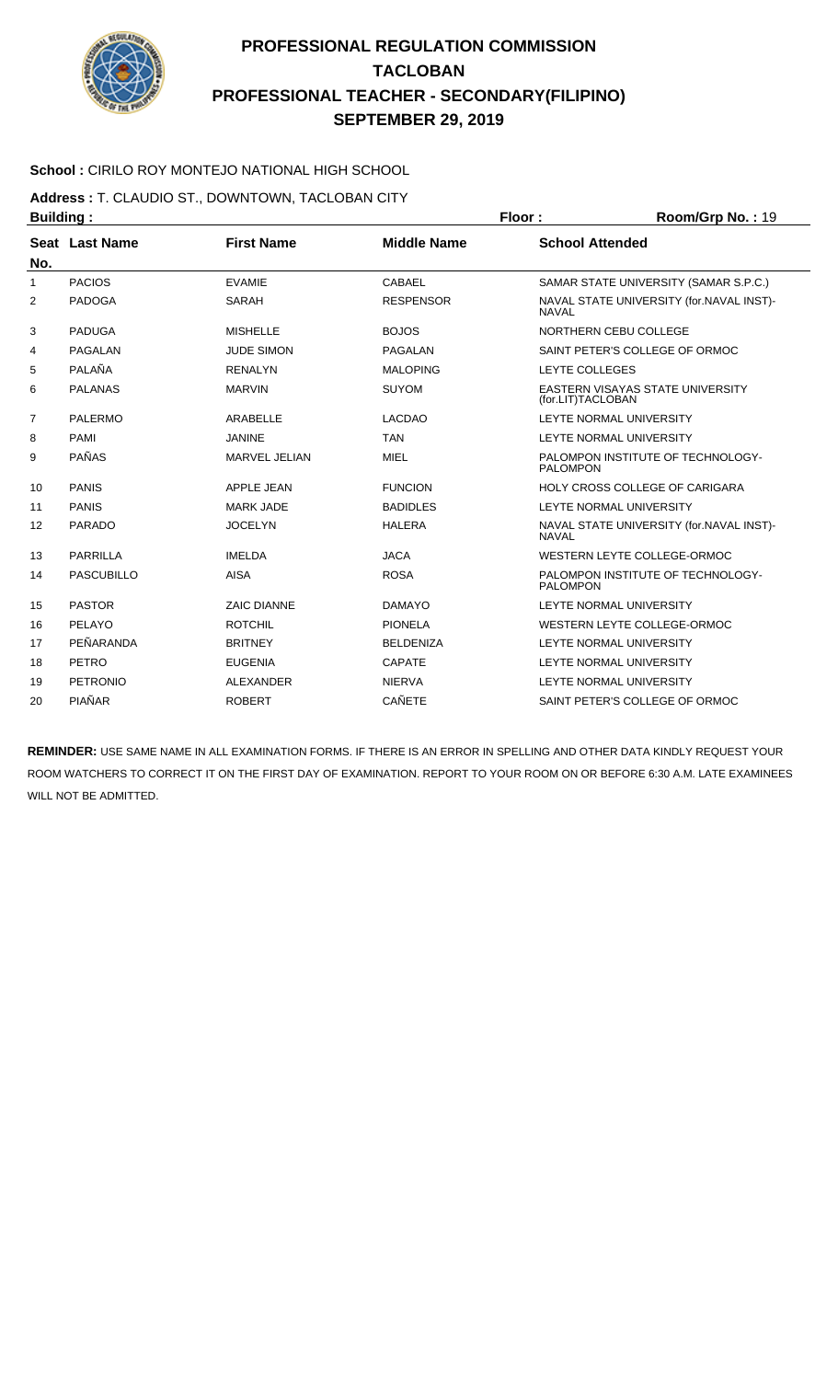

### **School :** CIRILO ROY MONTEJO NATIONAL HIGH SCHOOL

**Address :** T. CLAUDIO ST., DOWNTOWN, TACLOBAN CITY

| <b>Building:</b> |                   | Floor:             | Room/Grp No.: 19   |                        |                                          |
|------------------|-------------------|--------------------|--------------------|------------------------|------------------------------------------|
| No.              | Seat Last Name    | <b>First Name</b>  | <b>Middle Name</b> | <b>School Attended</b> |                                          |
| 1                | <b>PACIOS</b>     | <b>FVAMIF</b>      | CABAEL             |                        | SAMAR STATE UNIVERSITY (SAMAR S.P.C.)    |
| 2                | <b>PADOGA</b>     | <b>SARAH</b>       | <b>RESPENSOR</b>   | <b>NAVAL</b>           | NAVAL STATE UNIVERSITY (for.NAVAL INST)- |
| 3                | <b>PADUGA</b>     | <b>MISHELLE</b>    | <b>BOJOS</b>       |                        | NORTHERN CEBU COLLEGE                    |
| 4                | PAGALAN           | <b>JUDE SIMON</b>  | PAGALAN            |                        | SAINT PETER'S COLLEGE OF ORMOC           |
| 5                | PALAÑA            | <b>RENALYN</b>     | <b>MALOPING</b>    | LEYTE COLLEGES         |                                          |
| 6                | <b>PALANAS</b>    | <b>MARVIN</b>      | <b>SUYOM</b>       | (for.LIT)TACLOBAN      | EASTERN VISAYAS STATE UNIVERSITY         |
| $\overline{7}$   | <b>PALERMO</b>    | <b>ARABELLE</b>    | <b>LACDAO</b>      |                        | LEYTE NORMAL UNIVERSITY                  |
| 8                | <b>PAMI</b>       | <b>JANINE</b>      | <b>TAN</b>         |                        | LEYTE NORMAL UNIVERSITY                  |
| 9                | <b>PAÑAS</b>      | MARVEL JELIAN      | <b>MIEL</b>        | <b>PALOMPON</b>        | PALOMPON INSTITUTE OF TECHNOLOGY-        |
| 10               | <b>PANIS</b>      | <b>APPLE JEAN</b>  | <b>FUNCION</b>     |                        | <b>HOLY CROSS COLLEGE OF CARIGARA</b>    |
| 11               | <b>PANIS</b>      | <b>MARK JADE</b>   | <b>BADIDLES</b>    |                        | LEYTE NORMAL UNIVERSITY                  |
| 12               | <b>PARADO</b>     | <b>JOCELYN</b>     | <b>HALERA</b>      | <b>NAVAL</b>           | NAVAL STATE UNIVERSITY (for.NAVAL INST)- |
| 13               | <b>PARRILLA</b>   | <b>IMELDA</b>      | <b>JACA</b>        |                        | WESTERN LEYTE COLLEGE-ORMOC              |
| 14               | <b>PASCUBILLO</b> | <b>AISA</b>        | <b>ROSA</b>        | <b>PALOMPON</b>        | PALOMPON INSTITUTE OF TECHNOLOGY-        |
| 15               | <b>PASTOR</b>     | <b>ZAIC DIANNE</b> | <b>DAMAYO</b>      |                        | <b>LEYTE NORMAL UNIVERSITY</b>           |
| 16               | PELAYO            | <b>ROTCHIL</b>     | <b>PIONELA</b>     |                        | WESTERN LEYTE COLLEGE-ORMOC              |
| 17               | PEÑARANDA         | <b>BRITNEY</b>     | <b>BELDENIZA</b>   |                        | LEYTE NORMAL UNIVERSITY                  |
| 18               | PETRO             | <b>EUGENIA</b>     | <b>CAPATE</b>      |                        | <b>LEYTE NORMAL UNIVERSITY</b>           |
| 19               | <b>PETRONIO</b>   | <b>ALEXANDER</b>   | <b>NIERVA</b>      |                        | LEYTE NORMAL UNIVERSITY                  |
| 20               | PIAÑAR            | <b>ROBERT</b>      | <b>CAÑETE</b>      |                        | SAINT PETER'S COLLEGE OF ORMOC           |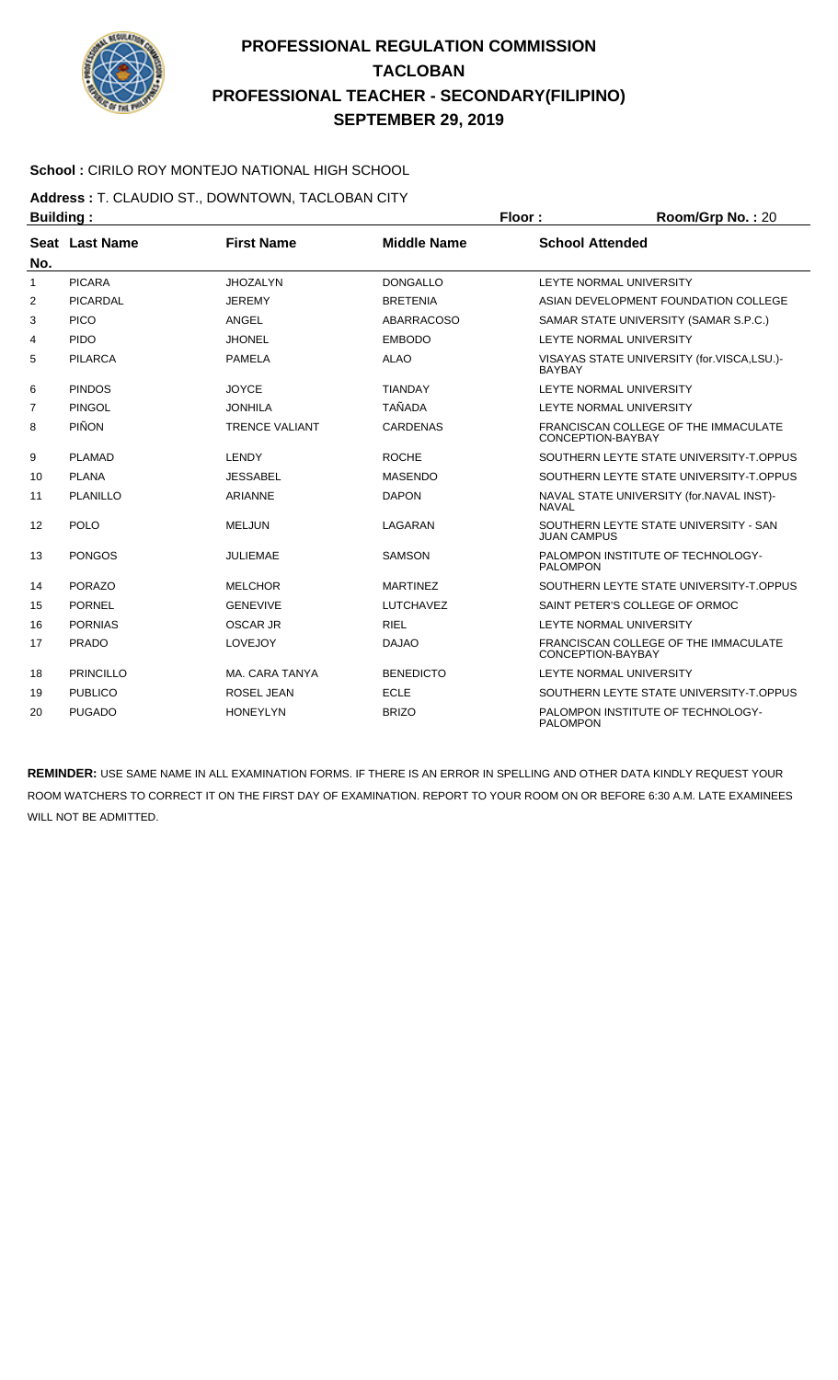

### **School :** CIRILO ROY MONTEJO NATIONAL HIGH SCHOOL

**Address :** T. CLAUDIO ST., DOWNTOWN, TACLOBAN CITY **Building : Floor : Room/Grp No. :** 20

|              | .                |                       |                    |                                                             |
|--------------|------------------|-----------------------|--------------------|-------------------------------------------------------------|
| No.          | Seat Last Name   | <b>First Name</b>     | <b>Middle Name</b> | <b>School Attended</b>                                      |
| $\mathbf{1}$ | <b>PICARA</b>    | <b>JHOZALYN</b>       | <b>DONGALLO</b>    | LEYTE NORMAL UNIVERSITY                                     |
| 2            | PICARDAL         | <b>JEREMY</b>         | <b>BRETENIA</b>    | ASIAN DEVELOPMENT FOUNDATION COLLEGE                        |
| 3            | <b>PICO</b>      | ANGEL                 | <b>ABARRACOSO</b>  | SAMAR STATE UNIVERSITY (SAMAR S.P.C.)                       |
| 4            | <b>PIDO</b>      | <b>JHONEL</b>         | <b>EMBODO</b>      | LEYTE NORMAL UNIVERSITY                                     |
| 5            | <b>PILARCA</b>   | PAMELA                | <b>ALAO</b>        | VISAYAS STATE UNIVERSITY (for.VISCA,LSU.)-<br><b>BAYBAY</b> |
| 6            | <b>PINDOS</b>    | <b>JOYCE</b>          | <b>TIANDAY</b>     | LEYTE NORMAL UNIVERSITY                                     |
| 7            | <b>PINGOL</b>    | <b>JONHILA</b>        | <b>TAÑADA</b>      | LEYTE NORMAL UNIVERSITY                                     |
| 8            | <b>PIÑON</b>     | <b>TRENCE VALIANT</b> | <b>CARDENAS</b>    | FRANCISCAN COLLEGE OF THE IMMACULATE<br>CONCEPTION-BAYBAY   |
| 9            | <b>PLAMAD</b>    | <b>LENDY</b>          | <b>ROCHE</b>       | SOUTHERN LEYTE STATE UNIVERSITY-T.OPPUS                     |
| 10           | <b>PLANA</b>     | <b>JESSABEL</b>       | <b>MASENDO</b>     | SOUTHERN LEYTE STATE UNIVERSITY-T.OPPUS                     |
| 11           | PLANILLO         | <b>ARIANNE</b>        | <b>DAPON</b>       | NAVAL STATE UNIVERSITY (for.NAVAL INST)-<br><b>NAVAL</b>    |
| 12           | POLO             | <b>MELJUN</b>         | LAGARAN            | SOUTHERN LEYTE STATE UNIVERSITY - SAN<br><b>JUAN CAMPUS</b> |
| 13           | <b>PONGOS</b>    | <b>JULIEMAE</b>       | <b>SAMSON</b>      | PALOMPON INSTITUTE OF TECHNOLOGY-<br><b>PALOMPON</b>        |
| 14           | <b>PORAZO</b>    | <b>MELCHOR</b>        | <b>MARTINEZ</b>    | SOUTHERN LEYTE STATE UNIVERSITY-T.OPPUS                     |
| 15           | <b>PORNEL</b>    | <b>GENEVIVE</b>       | <b>LUTCHAVEZ</b>   | SAINT PETER'S COLLEGE OF ORMOC                              |
| 16           | <b>PORNIAS</b>   | <b>OSCAR JR</b>       | <b>RIEL</b>        | LEYTE NORMAL UNIVERSITY                                     |
| 17           | <b>PRADO</b>     | LOVEJOY               | <b>DAJAO</b>       | FRANCISCAN COLLEGE OF THE IMMACULATE<br>CONCEPTION-BAYBAY   |
| 18           | <b>PRINCILLO</b> | MA. CARA TANYA        | <b>BENEDICTO</b>   | LEYTE NORMAL UNIVERSITY                                     |
| 19           | <b>PUBLICO</b>   | ROSEL JEAN            | <b>ECLE</b>        | SOUTHERN LEYTE STATE UNIVERSITY-T.OPPUS                     |
| 20           | <b>PUGADO</b>    | <b>HONEYLYN</b>       | <b>BRIZO</b>       | PALOMPON INSTITUTE OF TECHNOLOGY-<br><b>PALOMPON</b>        |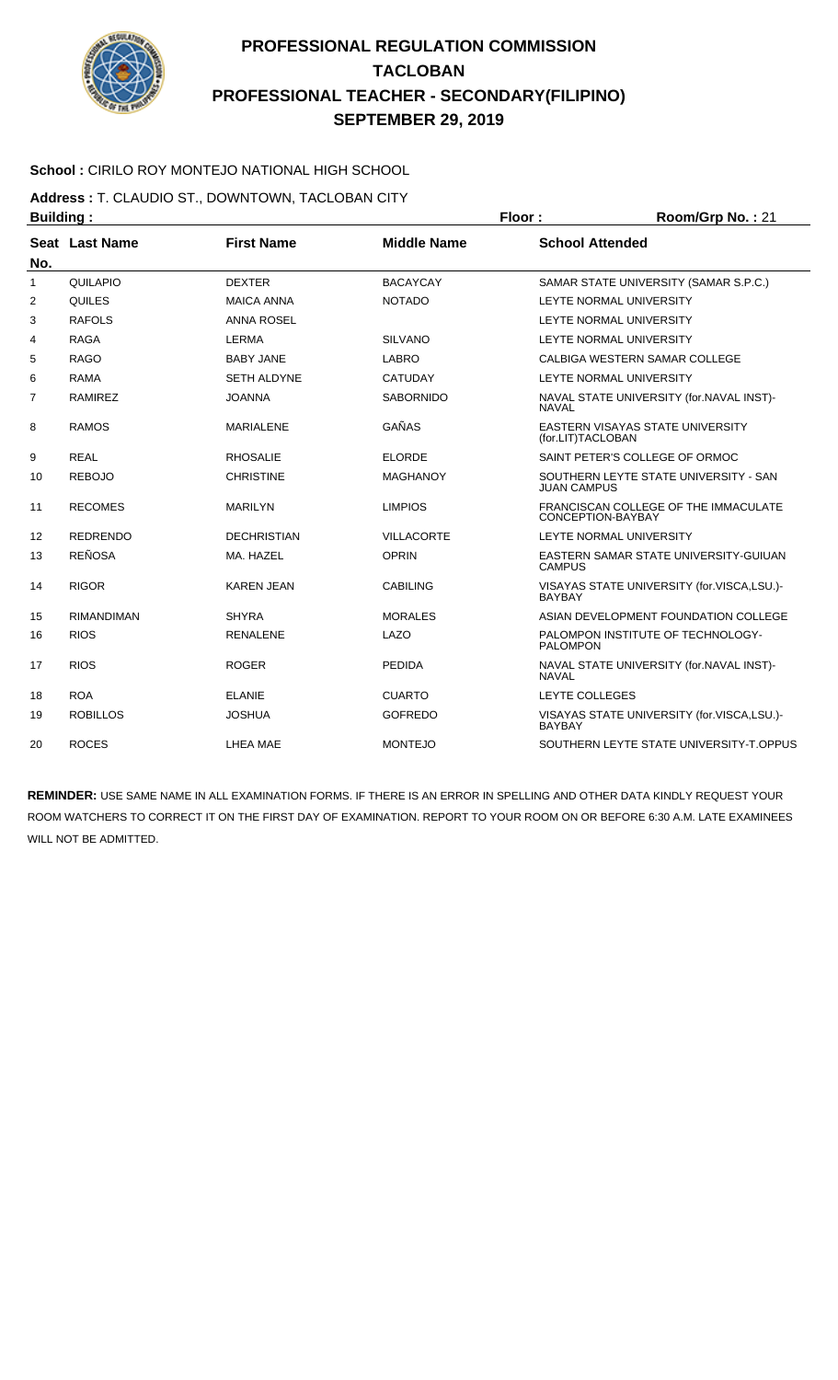

### **School :** CIRILO ROY MONTEJO NATIONAL HIGH SCHOOL

**Address :** T. CLAUDIO ST., DOWNTOWN, TACLOBAN CITY **Building : Floor : Floor : Room/Grp No. : 21** 

| No. | Seat Last Name    | <b>First Name</b>  | <b>Middle Name</b> | <b>School Attended</b>                                       |
|-----|-------------------|--------------------|--------------------|--------------------------------------------------------------|
| 1   | QUILAPIO          | <b>DEXTER</b>      | <b>BACAYCAY</b>    | SAMAR STATE UNIVERSITY (SAMAR S.P.C.)                        |
| 2   | QUILES            | <b>MAICA ANNA</b>  | <b>NOTADO</b>      | LEYTE NORMAL UNIVERSITY                                      |
| 3   | <b>RAFOLS</b>     | <b>ANNA ROSEL</b>  |                    | LEYTE NORMAL UNIVERSITY                                      |
| 4   | <b>RAGA</b>       | <b>LERMA</b>       | <b>SILVANO</b>     | LEYTE NORMAL UNIVERSITY                                      |
| 5   | <b>RAGO</b>       | <b>BABY JANE</b>   | <b>LABRO</b>       | CALBIGA WESTERN SAMAR COLLEGE                                |
| 6   | <b>RAMA</b>       | <b>SETH ALDYNE</b> | <b>CATUDAY</b>     | LEYTE NORMAL UNIVERSITY                                      |
| 7   | <b>RAMIREZ</b>    | <b>JOANNA</b>      | <b>SABORNIDO</b>   | NAVAL STATE UNIVERSITY (for.NAVAL INST)-<br><b>NAVAL</b>     |
| 8   | <b>RAMOS</b>      | <b>MARIALENE</b>   | GAÑAS              | <b>EASTERN VISAYAS STATE UNIVERSITY</b><br>(for.LIT)TACLOBAN |
| 9   | <b>REAL</b>       | <b>RHOSALIE</b>    | <b>ELORDE</b>      | SAINT PETER'S COLLEGE OF ORMOC                               |
| 10  | <b>REBOJO</b>     | <b>CHRISTINE</b>   | <b>MAGHANOY</b>    | SOUTHERN LEYTE STATE UNIVERSITY - SAN<br><b>JUAN CAMPUS</b>  |
| 11  | <b>RECOMES</b>    | <b>MARILYN</b>     | <b>LIMPIOS</b>     | FRANCISCAN COLLEGE OF THE IMMACULATE<br>CONCEPTION-BAYBAY    |
| 12  | <b>REDRENDO</b>   | <b>DECHRISTIAN</b> | <b>VILLACORTE</b>  | LEYTE NORMAL UNIVERSITY                                      |
| 13  | <b>REÑOSA</b>     | MA. HAZEL          | <b>OPRIN</b>       | EASTERN SAMAR STATE UNIVERSITY-GUIUAN<br><b>CAMPUS</b>       |
| 14  | <b>RIGOR</b>      | <b>KAREN JEAN</b>  | <b>CABILING</b>    | VISAYAS STATE UNIVERSITY (for.VISCA,LSU.)-<br><b>BAYBAY</b>  |
| 15  | <b>RIMANDIMAN</b> | <b>SHYRA</b>       | <b>MORALES</b>     | ASIAN DEVELOPMENT FOUNDATION COLLEGE                         |
| 16  | <b>RIOS</b>       | <b>RENALENE</b>    | LAZO               | PALOMPON INSTITUTE OF TECHNOLOGY-<br><b>PALOMPON</b>         |
| 17  | <b>RIOS</b>       | <b>ROGER</b>       | <b>PEDIDA</b>      | NAVAL STATE UNIVERSITY (for.NAVAL INST)-<br><b>NAVAL</b>     |
| 18  | <b>ROA</b>        | <b>ELANIE</b>      | <b>CUARTO</b>      | LEYTE COLLEGES                                               |
| 19  | <b>ROBILLOS</b>   | <b>JOSHUA</b>      | <b>GOFREDO</b>     | VISAYAS STATE UNIVERSITY (for.VISCA,LSU.)-<br><b>BAYBAY</b>  |
| 20  | <b>ROCES</b>      | LHEA MAE           | <b>MONTEJO</b>     | SOUTHERN LEYTE STATE UNIVERSITY-T.OPPUS                      |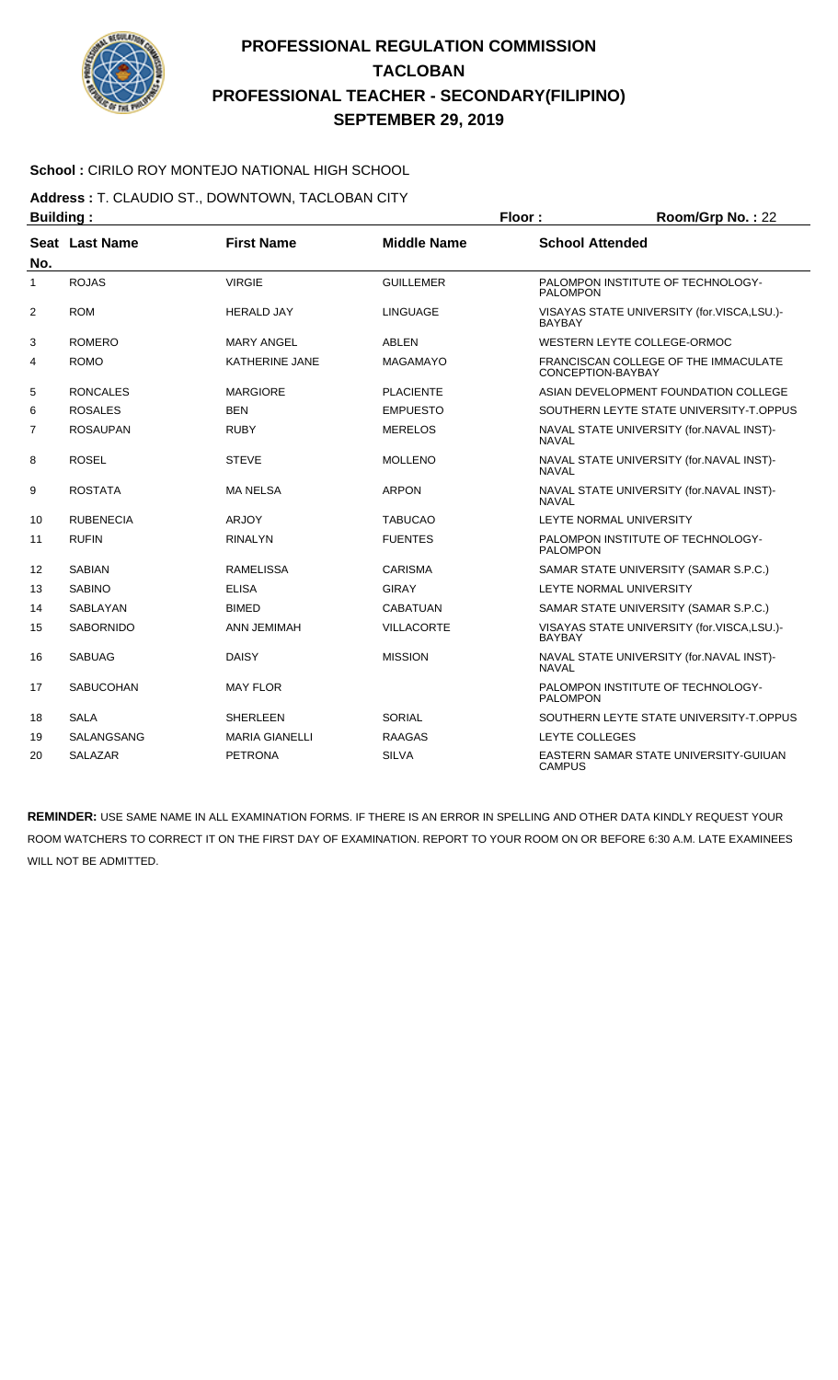

### **School :** CIRILO ROY MONTEJO NATIONAL HIGH SCHOOL

**Address :** T. CLAUDIO ST., DOWNTOWN, TACLOBAN CITY

| <b>Building:</b> |                  |                       |                    | Floor:                 | Room/Grp No.: 22                           |  |
|------------------|------------------|-----------------------|--------------------|------------------------|--------------------------------------------|--|
| No.              | Seat Last Name   | <b>First Name</b>     | <b>Middle Name</b> | <b>School Attended</b> |                                            |  |
| $\mathbf{1}$     | <b>ROJAS</b>     | <b>VIRGIE</b>         | <b>GUILLEMER</b>   | <b>PALOMPON</b>        | PALOMPON INSTITUTE OF TECHNOLOGY-          |  |
| $\overline{2}$   | <b>ROM</b>       | <b>HERALD JAY</b>     | <b>LINGUAGE</b>    | <b>BAYBAY</b>          | VISAYAS STATE UNIVERSITY (for.VISCA,LSU.)- |  |
| 3                | <b>ROMERO</b>    | <b>MARY ANGEL</b>     | <b>ABLEN</b>       |                        | WESTERN LEYTE COLLEGE-ORMOC                |  |
| 4                | <b>ROMO</b>      | KATHERINE JANE        | <b>MAGAMAYO</b>    | CONCEPTION-BAYBAY      | FRANCISCAN COLLEGE OF THE IMMACULATE       |  |
| 5                | <b>RONCALES</b>  | <b>MARGIORE</b>       | <b>PLACIENTE</b>   |                        | ASIAN DEVELOPMENT FOUNDATION COLLEGE       |  |
| 6                | <b>ROSALES</b>   | <b>BEN</b>            | <b>EMPUESTO</b>    |                        | SOUTHERN LEYTE STATE UNIVERSITY-T.OPPUS    |  |
| 7                | <b>ROSAUPAN</b>  | <b>RUBY</b>           | <b>MERELOS</b>     | <b>NAVAL</b>           | NAVAL STATE UNIVERSITY (for.NAVAL INST)-   |  |
| 8                | <b>ROSEL</b>     | <b>STEVE</b>          | <b>MOLLENO</b>     | <b>NAVAL</b>           | NAVAL STATE UNIVERSITY (for.NAVAL INST)-   |  |
| 9                | <b>ROSTATA</b>   | <b>MA NELSA</b>       | <b>ARPON</b>       | <b>NAVAL</b>           | NAVAL STATE UNIVERSITY (for.NAVAL INST)-   |  |
| 10               | <b>RUBENECIA</b> | <b>ARJOY</b>          | <b>TABUCAO</b>     |                        | LEYTE NORMAL UNIVERSITY                    |  |
| 11               | <b>RUFIN</b>     | <b>RINALYN</b>        | <b>FUENTES</b>     | <b>PALOMPON</b>        | PALOMPON INSTITUTE OF TECHNOLOGY-          |  |
| 12               | <b>SABIAN</b>    | <b>RAMELISSA</b>      | <b>CARISMA</b>     |                        | SAMAR STATE UNIVERSITY (SAMAR S.P.C.)      |  |
| 13               | <b>SABINO</b>    | <b>ELISA</b>          | <b>GIRAY</b>       |                        | LEYTE NORMAL UNIVERSITY                    |  |
| 14               | SABLAYAN         | <b>BIMED</b>          | <b>CABATUAN</b>    |                        | SAMAR STATE UNIVERSITY (SAMAR S.P.C.)      |  |
| 15               | <b>SABORNIDO</b> | <b>ANN JEMIMAH</b>    | <b>VILLACORTE</b>  | <b>BAYBAY</b>          | VISAYAS STATE UNIVERSITY (for.VISCA,LSU.)- |  |
| 16               | <b>SABUAG</b>    | <b>DAISY</b>          | <b>MISSION</b>     | <b>NAVAL</b>           | NAVAL STATE UNIVERSITY (for.NAVAL INST)-   |  |
| 17               | <b>SABUCOHAN</b> | <b>MAY FLOR</b>       |                    | <b>PALOMPON</b>        | PALOMPON INSTITUTE OF TECHNOLOGY-          |  |
| 18               | <b>SALA</b>      | <b>SHERLEEN</b>       | SORIAL             |                        | SOUTHERN LEYTE STATE UNIVERSITY-T.OPPUS    |  |
| 19               | SALANGSANG       | <b>MARIA GIANELLI</b> | <b>RAAGAS</b>      | <b>LEYTE COLLEGES</b>  |                                            |  |
| 20               | <b>SALAZAR</b>   | <b>PETRONA</b>        | <b>SILVA</b>       | <b>CAMPUS</b>          | EASTERN SAMAR STATE UNIVERSITY-GUIUAN      |  |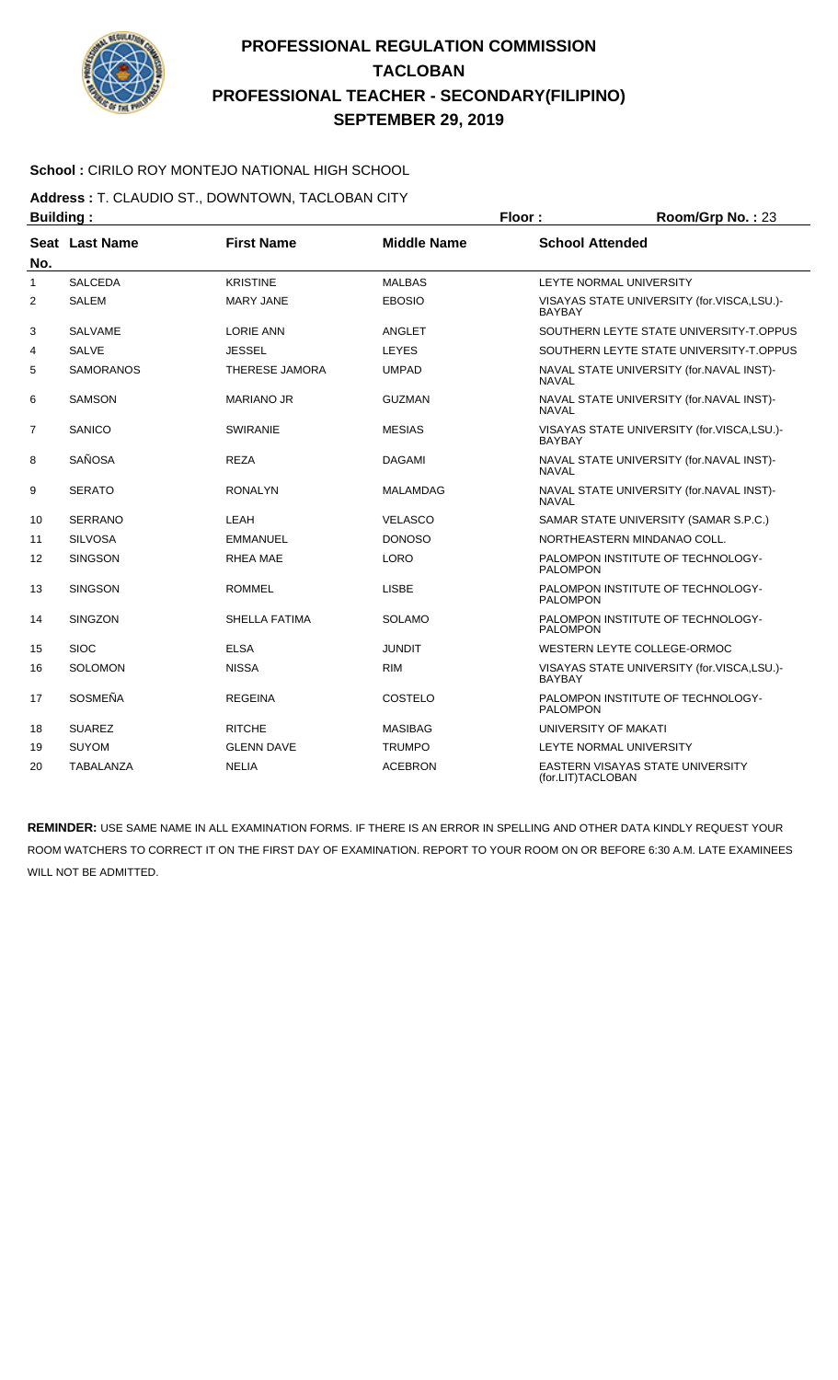

### **School :** CIRILO ROY MONTEJO NATIONAL HIGH SCHOOL

**Address :** T. CLAUDIO ST., DOWNTOWN, TACLOBAN CITY

| <b>Building:</b> |                  |                       | Floor:             | Room/Grp No.: 23                                         |                                            |
|------------------|------------------|-----------------------|--------------------|----------------------------------------------------------|--------------------------------------------|
| No.              | Seat Last Name   | <b>First Name</b>     | <b>Middle Name</b> | <b>School Attended</b>                                   |                                            |
| 1                | <b>SALCEDA</b>   | <b>KRISTINE</b>       | <b>MALBAS</b>      |                                                          | LEYTE NORMAL UNIVERSITY                    |
| 2                | <b>SALEM</b>     | <b>MARY JANE</b>      | <b>EBOSIO</b>      | <b>BAYBAY</b>                                            | VISAYAS STATE UNIVERSITY (for.VISCA,LSU.)- |
| 3                | <b>SALVAME</b>   | <b>LORIE ANN</b>      | <b>ANGLET</b>      |                                                          | SOUTHERN LEYTE STATE UNIVERSITY-T.OPPUS    |
| 4                | <b>SALVE</b>     | <b>JESSEL</b>         | <b>LEYES</b>       |                                                          | SOUTHERN LEYTE STATE UNIVERSITY-T.OPPUS    |
| 5                | <b>SAMORANOS</b> | <b>THERESE JAMORA</b> | <b>UMPAD</b>       | <b>NAVAL</b>                                             | NAVAL STATE UNIVERSITY (for.NAVAL INST)-   |
| 6                | <b>SAMSON</b>    | <b>MARIANO JR</b>     | <b>GUZMAN</b>      | <b>NAVAL</b>                                             | NAVAL STATE UNIVERSITY (for.NAVAL INST)-   |
| 7                | SANICO           | <b>SWIRANIE</b>       | <b>MESIAS</b>      | <b>BAYBAY</b>                                            | VISAYAS STATE UNIVERSITY (for.VISCA,LSU.)- |
| 8                | <b>SAÑOSA</b>    | <b>REZA</b>           | <b>DAGAMI</b>      | NAVAL STATE UNIVERSITY (for.NAVAL INST)-<br><b>NAVAL</b> |                                            |
| 9                | <b>SERATO</b>    | <b>RONALYN</b>        | <b>MALAMDAG</b>    | <b>NAVAL</b>                                             | NAVAL STATE UNIVERSITY (for.NAVAL INST)-   |
| 10               | <b>SERRANO</b>   | LEAH                  | <b>VELASCO</b>     |                                                          | SAMAR STATE UNIVERSITY (SAMAR S.P.C.)      |
| 11               | <b>SILVOSA</b>   | <b>EMMANUEL</b>       | <b>DONOSO</b>      |                                                          | NORTHEASTERN MINDANAO COLL.                |
| 12               | <b>SINGSON</b>   | <b>RHEA MAE</b>       | <b>LORO</b>        | <b>PALOMPON</b>                                          | PALOMPON INSTITUTE OF TECHNOLOGY-          |
| 13               | <b>SINGSON</b>   | <b>ROMMEL</b>         | <b>LISBE</b>       | <b>PALOMPON</b>                                          | PALOMPON INSTITUTE OF TECHNOLOGY-          |
| 14               | <b>SINGZON</b>   | <b>SHELLA FATIMA</b>  | <b>SOLAMO</b>      | <b>PALOMPON</b>                                          | PALOMPON INSTITUTE OF TECHNOLOGY-          |
| 15               | <b>SIOC</b>      | <b>ELSA</b>           | JUNDIT             |                                                          | WESTERN LEYTE COLLEGE-ORMOC                |
| 16               | <b>SOLOMON</b>   | <b>NISSA</b>          | <b>RIM</b>         | <b>BAYBAY</b>                                            | VISAYAS STATE UNIVERSITY (for.VISCA,LSU.)- |
| 17               | SOSMEÑA          | <b>REGEINA</b>        | COSTELO            | <b>PALOMPON</b>                                          | PALOMPON INSTITUTE OF TECHNOLOGY-          |
| 18               | <b>SUAREZ</b>    | <b>RITCHE</b>         | <b>MASIBAG</b>     | UNIVERSITY OF MAKATI                                     |                                            |
| 19               | <b>SUYOM</b>     | <b>GLENN DAVE</b>     | <b>TRUMPO</b>      |                                                          | LEYTE NORMAL UNIVERSITY                    |
| 20               | <b>TABALANZA</b> | <b>NELIA</b>          | <b>ACEBRON</b>     | (for.LIT)TACLOBAN                                        | <b>EASTERN VISAYAS STATE UNIVERSITY</b>    |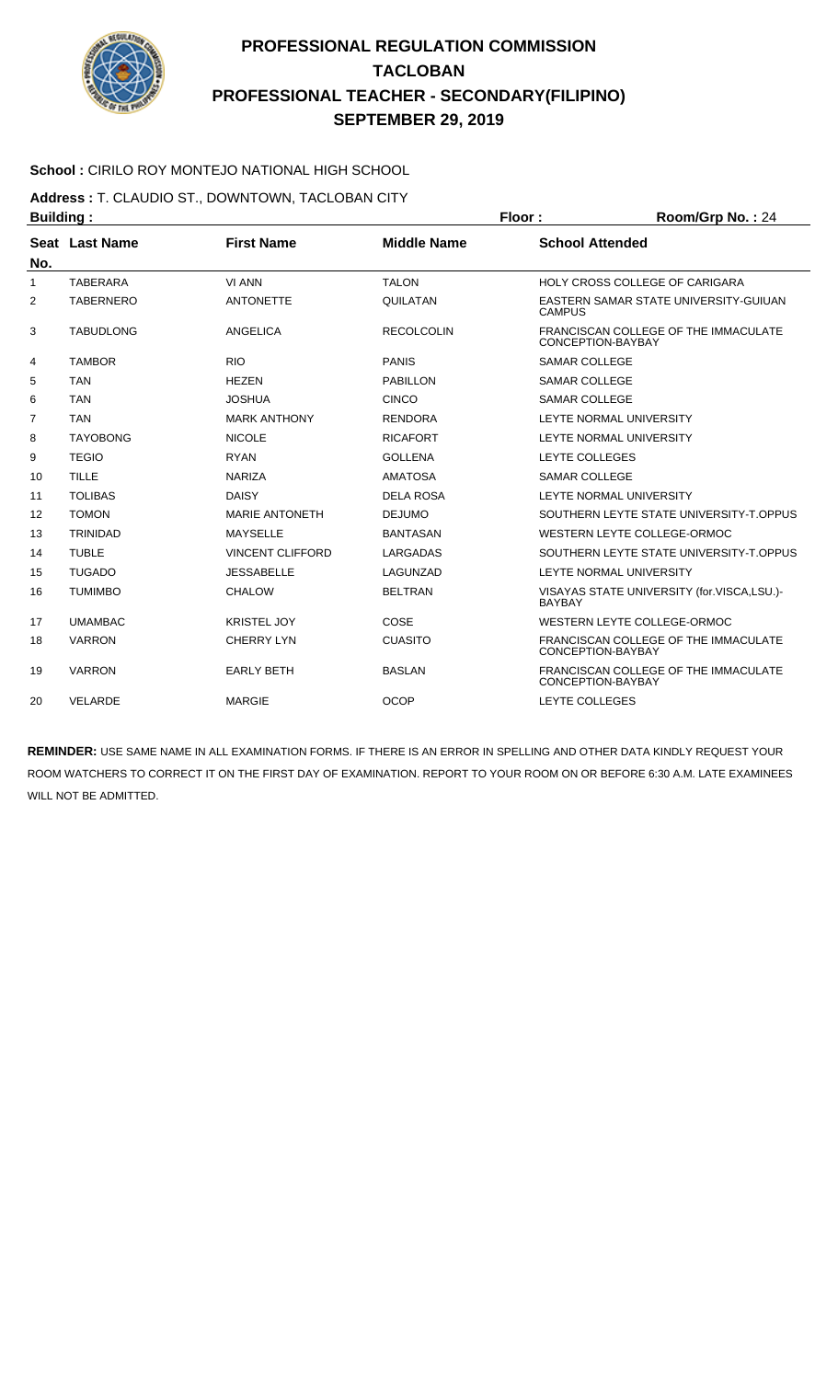

### **School :** CIRILO ROY MONTEJO NATIONAL HIGH SCHOOL

**Address :** T. CLAUDIO ST., DOWNTOWN, TACLOBAN CITY

| <b>Building:</b> |                  |                         |                    | Floor:<br>$Room/Grp$ No.: 24 |                                            |  |
|------------------|------------------|-------------------------|--------------------|------------------------------|--------------------------------------------|--|
|                  | Seat Last Name   | <b>First Name</b>       | <b>Middle Name</b> | <b>School Attended</b>       |                                            |  |
| No.              |                  |                         |                    |                              |                                            |  |
| 1                | <b>TABERARA</b>  | <b>VI ANN</b>           | <b>TALON</b>       |                              | HOLY CROSS COLLEGE OF CARIGARA             |  |
| 2                | <b>TABERNERO</b> | <b>ANTONETTE</b>        | QUILATAN           | <b>CAMPUS</b>                | EASTERN SAMAR STATE UNIVERSITY-GUIUAN      |  |
| 3                | <b>TABUDLONG</b> | ANGELICA                | <b>RECOLCOLIN</b>  | CONCEPTION-BAYBAY            | FRANCISCAN COLLEGE OF THE IMMACULATE       |  |
| 4                | <b>TAMBOR</b>    | <b>RIO</b>              | <b>PANIS</b>       | <b>SAMAR COLLEGE</b>         |                                            |  |
| 5                | <b>TAN</b>       | <b>HEZEN</b>            | <b>PABILLON</b>    | <b>SAMAR COLLEGE</b>         |                                            |  |
| 6                | <b>TAN</b>       | <b>JOSHUA</b>           | <b>CINCO</b>       | <b>SAMAR COLLEGE</b>         |                                            |  |
| $\overline{7}$   | <b>TAN</b>       | <b>MARK ANTHONY</b>     | <b>RENDORA</b>     |                              | LEYTE NORMAL UNIVERSITY                    |  |
| 8                | <b>TAYOBONG</b>  | <b>NICOLE</b>           | <b>RICAFORT</b>    |                              | LEYTE NORMAL UNIVERSITY                    |  |
| 9                | <b>TEGIO</b>     | <b>RYAN</b>             | <b>GOLLENA</b>     | LEYTE COLLEGES               |                                            |  |
| 10               | <b>TILLE</b>     | <b>NARIZA</b>           | <b>AMATOSA</b>     | <b>SAMAR COLLEGE</b>         |                                            |  |
| 11               | <b>TOLIBAS</b>   | <b>DAISY</b>            | <b>DELA ROSA</b>   |                              | LEYTE NORMAL UNIVERSITY                    |  |
| 12               | <b>TOMON</b>     | <b>MARIE ANTONETH</b>   | <b>DEJUMO</b>      |                              | SOUTHERN LEYTE STATE UNIVERSITY-T.OPPUS    |  |
| 13               | <b>TRINIDAD</b>  | <b>MAYSELLE</b>         | <b>BANTASAN</b>    |                              | WESTERN LEYTE COLLEGE-ORMOC                |  |
| 14               | <b>TUBLE</b>     | <b>VINCENT CLIFFORD</b> | LARGADAS           |                              | SOUTHERN LEYTE STATE UNIVERSITY-T.OPPUS    |  |
| 15               | <b>TUGADO</b>    | <b>JESSABELLE</b>       | LAGUNZAD           |                              | LEYTE NORMAL UNIVERSITY                    |  |
| 16               | <b>TUMIMBO</b>   | <b>CHALOW</b>           | <b>BELTRAN</b>     | <b>BAYBAY</b>                | VISAYAS STATE UNIVERSITY (for.VISCA,LSU.)- |  |
| 17               | <b>UMAMBAC</b>   | <b>KRISTEL JOY</b>      | COSE               |                              | WESTERN LEYTE COLLEGE-ORMOC                |  |
| 18               | <b>VARRON</b>    | <b>CHERRY LYN</b>       | <b>CUASITO</b>     | CONCEPTION-BAYBAY            | FRANCISCAN COLLEGE OF THE IMMACULATE       |  |
| 19               | <b>VARRON</b>    | <b>EARLY BETH</b>       | <b>BASLAN</b>      | CONCEPTION-BAYBAY            | FRANCISCAN COLLEGE OF THE IMMACULATE       |  |
| 20               | <b>VELARDE</b>   | <b>MARGIE</b>           | <b>OCOP</b>        | LEYTE COLLEGES               |                                            |  |